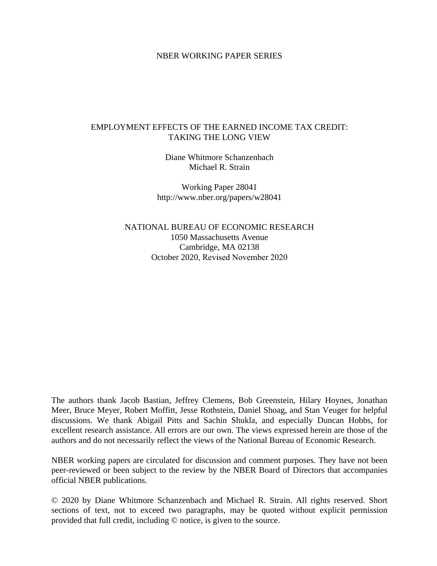# NBER WORKING PAPER SERIES

# EMPLOYMENT EFFECTS OF THE EARNED INCOME TAX CREDIT: TAKING THE LONG VIEW

Diane Whitmore Schanzenbach Michael R. Strain

Working Paper 28041 http://www.nber.org/papers/w28041

NATIONAL BUREAU OF ECONOMIC RESEARCH 1050 Massachusetts Avenue Cambridge, MA 02138 October 2020, Revised November 2020

The authors thank Jacob Bastian, Jeffrey Clemens, Bob Greenstein, Hilary Hoynes, Jonathan Meer, Bruce Meyer, Robert Moffitt, Jesse Rothstein, Daniel Shoag, and Stan Veuger for helpful discussions. We thank Abigail Pitts and Sachin Shukla, and especially Duncan Hobbs, for excellent research assistance. All errors are our own. The views expressed herein are those of the authors and do not necessarily reflect the views of the National Bureau of Economic Research.

NBER working papers are circulated for discussion and comment purposes. They have not been peer-reviewed or been subject to the review by the NBER Board of Directors that accompanies official NBER publications.

© 2020 by Diane Whitmore Schanzenbach and Michael R. Strain. All rights reserved. Short sections of text, not to exceed two paragraphs, may be quoted without explicit permission provided that full credit, including © notice, is given to the source.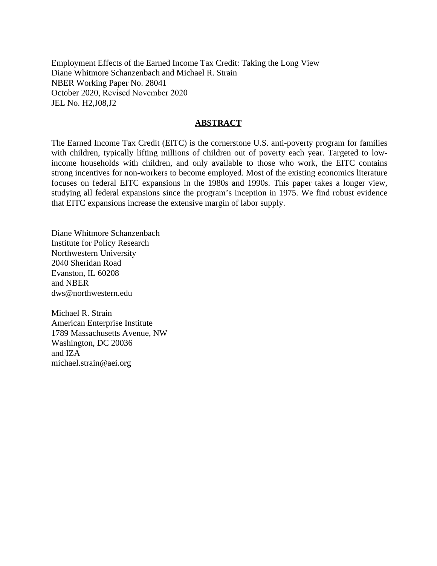Employment Effects of the Earned Income Tax Credit: Taking the Long View Diane Whitmore Schanzenbach and Michael R. Strain NBER Working Paper No. 28041 October 2020, Revised November 2020 JEL No. H2,J08,J2

# **ABSTRACT**

The Earned Income Tax Credit (EITC) is the cornerstone U.S. anti-poverty program for families with children, typically lifting millions of children out of poverty each year. Targeted to lowincome households with children, and only available to those who work, the EITC contains strong incentives for non-workers to become employed. Most of the existing economics literature focuses on federal EITC expansions in the 1980s and 1990s. This paper takes a longer view, studying all federal expansions since the program's inception in 1975. We find robust evidence that EITC expansions increase the extensive margin of labor supply.

Diane Whitmore Schanzenbach Institute for Policy Research Northwestern University 2040 Sheridan Road Evanston, IL 60208 and NBER dws@northwestern.edu

Michael R. Strain American Enterprise Institute 1789 Massachusetts Avenue, NW Washington, DC 20036 and IZA michael.strain@aei.org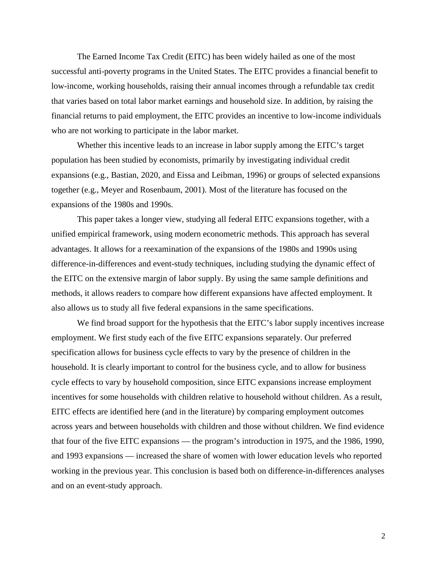The Earned Income Tax Credit (EITC) has been widely hailed as one of the most successful anti-poverty programs in the United States. The EITC provides a financial benefit to low-income, working households, raising their annual incomes through a refundable tax credit that varies based on total labor market earnings and household size. In addition, by raising the financial returns to paid employment, the EITC provides an incentive to low-income individuals who are not working to participate in the labor market.

Whether this incentive leads to an increase in labor supply among the EITC's target population has been studied by economists, primarily by investigating individual credit expansions (e.g., Bastian, 2020, and Eissa and Leibman, 1996) or groups of selected expansions together (e.g., Meyer and Rosenbaum, 2001). Most of the literature has focused on the expansions of the 1980s and 1990s.

This paper takes a longer view, studying all federal EITC expansions together, with a unified empirical framework, using modern econometric methods. This approach has several advantages. It allows for a reexamination of the expansions of the 1980s and 1990s using difference-in-differences and event-study techniques, including studying the dynamic effect of the EITC on the extensive margin of labor supply. By using the same sample definitions and methods, it allows readers to compare how different expansions have affected employment. It also allows us to study all five federal expansions in the same specifications.

We find broad support for the hypothesis that the EITC's labor supply incentives increase employment. We first study each of the five EITC expansions separately. Our preferred specification allows for business cycle effects to vary by the presence of children in the household. It is clearly important to control for the business cycle, and to allow for business cycle effects to vary by household composition, since EITC expansions increase employment incentives for some households with children relative to household without children. As a result, EITC effects are identified here (and in the literature) by comparing employment outcomes across years and between households with children and those without children. We find evidence that four of the five EITC expansions — the program's introduction in 1975, and the 1986, 1990, and 1993 expansions — increased the share of women with lower education levels who reported working in the previous year. This conclusion is based both on difference-in-differences analyses and on an event-study approach.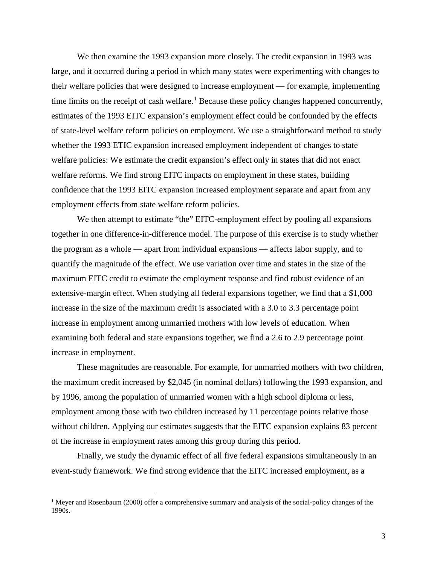We then examine the 1993 expansion more closely. The credit expansion in 1993 was large, and it occurred during a period in which many states were experimenting with changes to their welfare policies that were designed to increase employment — for example, implementing time limits on the receipt of cash welfare.<sup>[1](#page-3-0)</sup> Because these policy changes happened concurrently, estimates of the 1993 EITC expansion's employment effect could be confounded by the effects of state-level welfare reform policies on employment. We use a straightforward method to study whether the 1993 ETIC expansion increased employment independent of changes to state welfare policies: We estimate the credit expansion's effect only in states that did not enact welfare reforms. We find strong EITC impacts on employment in these states, building confidence that the 1993 EITC expansion increased employment separate and apart from any employment effects from state welfare reform policies.

We then attempt to estimate "the" EITC-employment effect by pooling all expansions together in one difference-in-difference model. The purpose of this exercise is to study whether the program as a whole — apart from individual expansions — affects labor supply, and to quantify the magnitude of the effect. We use variation over time and states in the size of the maximum EITC credit to estimate the employment response and find robust evidence of an extensive-margin effect. When studying all federal expansions together, we find that a \$1,000 increase in the size of the maximum credit is associated with a 3.0 to 3.3 percentage point increase in employment among unmarried mothers with low levels of education. When examining both federal and state expansions together, we find a 2.6 to 2.9 percentage point increase in employment.

These magnitudes are reasonable. For example, for unmarried mothers with two children, the maximum credit increased by \$2,045 (in nominal dollars) following the 1993 expansion, and by 1996, among the population of unmarried women with a high school diploma or less, employment among those with two children increased by 11 percentage points relative those without children. Applying our estimates suggests that the EITC expansion explains 83 percent of the increase in employment rates among this group during this period.

Finally, we study the dynamic effect of all five federal expansions simultaneously in an event-study framework. We find strong evidence that the EITC increased employment, as a

l

<span id="page-3-0"></span><sup>&</sup>lt;sup>1</sup> Meyer and Rosenbaum (2000) offer a comprehensive summary and analysis of the social-policy changes of the 1990s.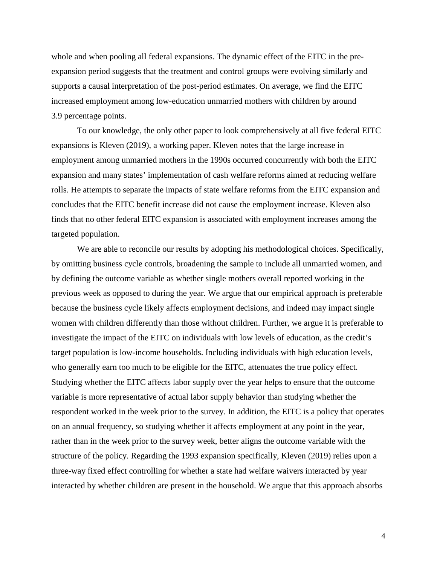whole and when pooling all federal expansions. The dynamic effect of the EITC in the preexpansion period suggests that the treatment and control groups were evolving similarly and supports a causal interpretation of the post-period estimates. On average, we find the EITC increased employment among low-education unmarried mothers with children by around 3.9 percentage points.

To our knowledge, the only other paper to look comprehensively at all five federal EITC expansions is Kleven (2019), a working paper. Kleven notes that the large increase in employment among unmarried mothers in the 1990s occurred concurrently with both the EITC expansion and many states' implementation of cash welfare reforms aimed at reducing welfare rolls. He attempts to separate the impacts of state welfare reforms from the EITC expansion and concludes that the EITC benefit increase did not cause the employment increase. Kleven also finds that no other federal EITC expansion is associated with employment increases among the targeted population.

We are able to reconcile our results by adopting his methodological choices. Specifically, by omitting business cycle controls, broadening the sample to include all unmarried women, and by defining the outcome variable as whether single mothers overall reported working in the previous week as opposed to during the year. We argue that our empirical approach is preferable because the business cycle likely affects employment decisions, and indeed may impact single women with children differently than those without children. Further, we argue it is preferable to investigate the impact of the EITC on individuals with low levels of education, as the credit's target population is low-income households. Including individuals with high education levels, who generally earn too much to be eligible for the EITC, attenuates the true policy effect. Studying whether the EITC affects labor supply over the year helps to ensure that the outcome variable is more representative of actual labor supply behavior than studying whether the respondent worked in the week prior to the survey. In addition, the EITC is a policy that operates on an annual frequency, so studying whether it affects employment at any point in the year, rather than in the week prior to the survey week, better aligns the outcome variable with the structure of the policy. Regarding the 1993 expansion specifically, Kleven (2019) relies upon a three-way fixed effect controlling for whether a state had welfare waivers interacted by year interacted by whether children are present in the household. We argue that this approach absorbs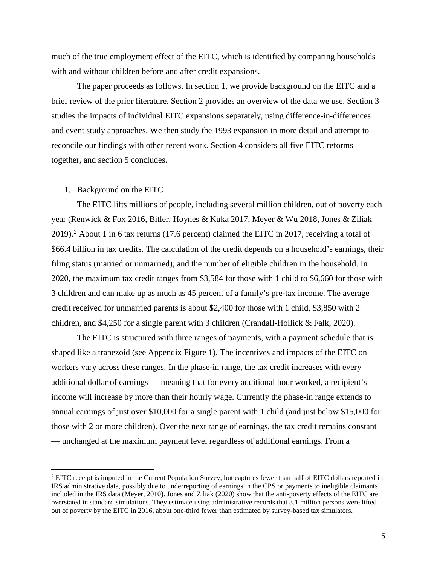much of the true employment effect of the EITC, which is identified by comparing households with and without children before and after credit expansions.

The paper proceeds as follows. In section 1, we provide background on the EITC and a brief review of the prior literature. Section 2 provides an overview of the data we use. Section 3 studies the impacts of individual EITC expansions separately, using difference-in-differences and event study approaches. We then study the 1993 expansion in more detail and attempt to reconcile our findings with other recent work. Section 4 considers all five EITC reforms together, and section 5 concludes.

## 1. Background on the EITC

 $\overline{\phantom{a}}$ 

The EITC lifts millions of people, including several million children, out of poverty each year (Renwick & Fox 2016, Bitler, Hoynes & Kuka 2017, Meyer & Wu 2018, Jones & Ziliak [2](#page-5-0)019).<sup>2</sup> About 1 in 6 tax returns (17.6 percent) claimed the EITC in 2017, receiving a total of \$66.4 billion in tax credits. The calculation of the credit depends on a household's earnings, their filing status (married or unmarried), and the number of eligible children in the household. In 2020, the maximum tax credit ranges from \$3,584 for those with 1 child to \$6,660 for those with 3 children and can make up as much as 45 percent of a family's pre-tax income. The average credit received for unmarried parents is about \$2,400 for those with 1 child, \$3,850 with 2 children, and \$4,250 for a single parent with 3 children (Crandall-Hollick & Falk, 2020).

The EITC is structured with three ranges of payments, with a payment schedule that is shaped like a trapezoid (see Appendix Figure 1). The incentives and impacts of the EITC on workers vary across these ranges. In the phase-in range, the tax credit increases with every additional dollar of earnings — meaning that for every additional hour worked, a recipient's income will increase by more than their hourly wage. Currently the phase-in range extends to annual earnings of just over \$10,000 for a single parent with 1 child (and just below \$15,000 for those with 2 or more children). Over the next range of earnings, the tax credit remains constant — unchanged at the maximum payment level regardless of additional earnings. From a

<span id="page-5-0"></span><sup>&</sup>lt;sup>2</sup> EITC receipt is imputed in the Current Population Survey, but captures fewer than half of EITC dollars reported in IRS administrative data, possibly due to underreporting of earnings in the CPS or payments to ineligible claimants included in the IRS data (Meyer, 2010). Jones and Ziliak (2020) show that the anti-poverty effects of the EITC are overstated in standard simulations. They estimate using administrative records that 3.1 million persons were lifted out of poverty by the EITC in 2016, about one-third fewer than estimated by survey-based tax simulators.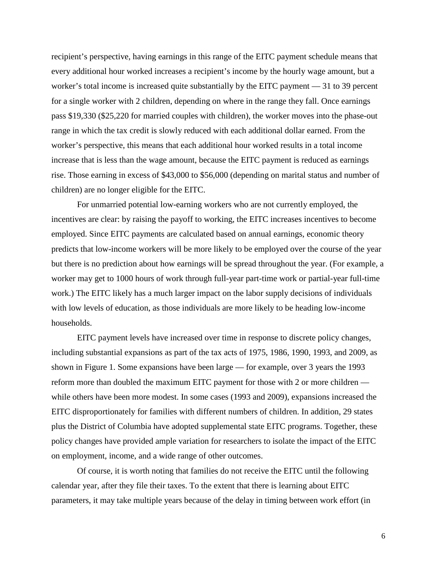recipient's perspective, having earnings in this range of the EITC payment schedule means that every additional hour worked increases a recipient's income by the hourly wage amount, but a worker's total income is increased quite substantially by the EITC payment — 31 to 39 percent for a single worker with 2 children, depending on where in the range they fall. Once earnings pass \$19,330 (\$25,220 for married couples with children), the worker moves into the phase-out range in which the tax credit is slowly reduced with each additional dollar earned. From the worker's perspective, this means that each additional hour worked results in a total income increase that is less than the wage amount, because the EITC payment is reduced as earnings rise. Those earning in excess of \$43,000 to \$56,000 (depending on marital status and number of children) are no longer eligible for the EITC.

For unmarried potential low-earning workers who are not currently employed, the incentives are clear: by raising the payoff to working, the EITC increases incentives to become employed. Since EITC payments are calculated based on annual earnings, economic theory predicts that low-income workers will be more likely to be employed over the course of the year but there is no prediction about how earnings will be spread throughout the year. (For example, a worker may get to 1000 hours of work through full-year part-time work or partial-year full-time work.) The EITC likely has a much larger impact on the labor supply decisions of individuals with low levels of education, as those individuals are more likely to be heading low-income households.

EITC payment levels have increased over time in response to discrete policy changes, including substantial expansions as part of the tax acts of 1975, 1986, 1990, 1993, and 2009, as shown in Figure 1. Some expansions have been large — for example, over 3 years the 1993 reform more than doubled the maximum EITC payment for those with 2 or more children while others have been more modest. In some cases (1993 and 2009), expansions increased the EITC disproportionately for families with different numbers of children. In addition, 29 states plus the District of Columbia have adopted supplemental state EITC programs. Together, these policy changes have provided ample variation for researchers to isolate the impact of the EITC on employment, income, and a wide range of other outcomes.

Of course, it is worth noting that families do not receive the EITC until the following calendar year, after they file their taxes. To the extent that there is learning about EITC parameters, it may take multiple years because of the delay in timing between work effort (in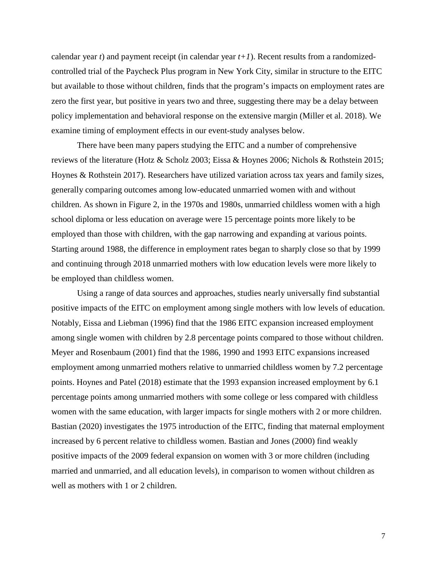calendar year  $t$ ) and payment receipt (in calendar year  $t+1$ ). Recent results from a randomizedcontrolled trial of the Paycheck Plus program in New York City, similar in structure to the EITC but available to those without children, finds that the program's impacts on employment rates are zero the first year, but positive in years two and three, suggesting there may be a delay between policy implementation and behavioral response on the extensive margin (Miller et al. 2018). We examine timing of employment effects in our event-study analyses below.

There have been many papers studying the EITC and a number of comprehensive reviews of the literature (Hotz & Scholz 2003; Eissa & Hoynes 2006; Nichols & Rothstein 2015; Hoynes & Rothstein 2017). Researchers have utilized variation across tax years and family sizes, generally comparing outcomes among low-educated unmarried women with and without children. As shown in Figure 2, in the 1970s and 1980s, unmarried childless women with a high school diploma or less education on average were 15 percentage points more likely to be employed than those with children, with the gap narrowing and expanding at various points. Starting around 1988, the difference in employment rates began to sharply close so that by 1999 and continuing through 2018 unmarried mothers with low education levels were more likely to be employed than childless women.

Using a range of data sources and approaches, studies nearly universally find substantial positive impacts of the EITC on employment among single mothers with low levels of education. Notably, Eissa and Liebman (1996) find that the 1986 EITC expansion increased employment among single women with children by 2.8 percentage points compared to those without children. Meyer and Rosenbaum (2001) find that the 1986, 1990 and 1993 EITC expansions increased employment among unmarried mothers relative to unmarried childless women by 7.2 percentage points. Hoynes and Patel (2018) estimate that the 1993 expansion increased employment by 6.1 percentage points among unmarried mothers with some college or less compared with childless women with the same education, with larger impacts for single mothers with 2 or more children. Bastian (2020) investigates the 1975 introduction of the EITC, finding that maternal employment increased by 6 percent relative to childless women. Bastian and Jones (2000) find weakly positive impacts of the 2009 federal expansion on women with 3 or more children (including married and unmarried, and all education levels), in comparison to women without children as well as mothers with 1 or 2 children.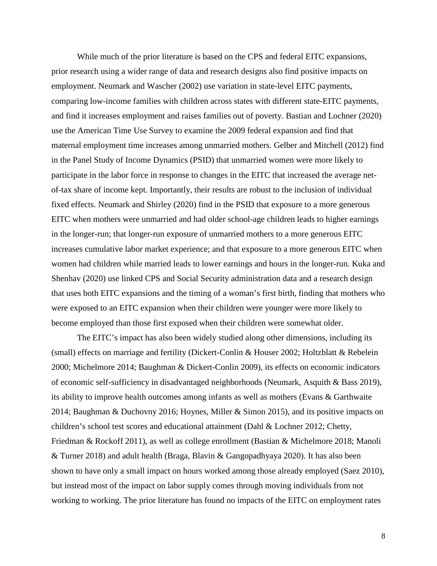While much of the prior literature is based on the CPS and federal EITC expansions, prior research using a wider range of data and research designs also find positive impacts on employment. Neumark and Wascher (2002) use variation in state-level EITC payments, comparing low-income families with children across states with different state-EITC payments, and find it increases employment and raises families out of poverty. Bastian and Lochner (2020) use the American Time Use Survey to examine the 2009 federal expansion and find that maternal employment time increases among unmarried mothers. Gelber and Mitchell (2012) find in the Panel Study of Income Dynamics (PSID) that unmarried women were more likely to participate in the labor force in response to changes in the EITC that increased the average netof-tax share of income kept. Importantly, their results are robust to the inclusion of individual fixed effects. Neumark and Shirley (2020) find in the PSID that exposure to a more generous EITC when mothers were unmarried and had older school-age children leads to higher earnings in the longer-run; that longer-run exposure of unmarried mothers to a more generous EITC increases cumulative labor market experience; and that exposure to a more generous EITC when women had children while married leads to lower earnings and hours in the longer-run. Kuka and Shenhav (2020) use linked CPS and Social Security administration data and a research design that uses both EITC expansions and the timing of a woman's first birth, finding that mothers who were exposed to an EITC expansion when their children were younger were more likely to become employed than those first exposed when their children were somewhat older.

The EITC's impact has also been widely studied along other dimensions, including its (small) effects on marriage and fertility (Dickert-Conlin & Houser 2002; Holtzblatt & Rebelein 2000; Michelmore 2014; Baughman & Dickert-Conlin 2009), its effects on economic indicators of economic self-sufficiency in disadvantaged neighborhoods (Neumark, Asquith & Bass 2019), its ability to improve health outcomes among infants as well as mothers (Evans & Garthwaite 2014; Baughman & Duchovny 2016; Hoynes, Miller & Simon 2015), and its positive impacts on children's school test scores and educational attainment (Dahl & Lochner 2012; Chetty, Friedman & Rockoff 2011), as well as college enrollment (Bastian & Michelmore 2018; Manoli & Turner 2018) and adult health (Braga, Blavin & Gangopadhyaya 2020). It has also been shown to have only a small impact on hours worked among those already employed (Saez 2010), but instead most of the impact on labor supply comes through moving individuals from not working to working. The prior literature has found no impacts of the EITC on employment rates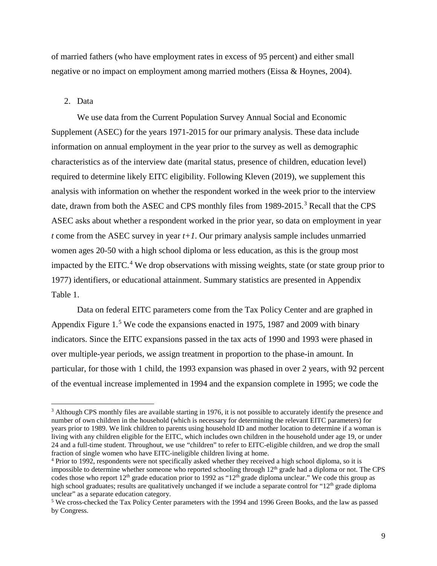of married fathers (who have employment rates in excess of 95 percent) and either small negative or no impact on employment among married mothers (Eissa & Hoynes, 2004).

# 2. Data

l

We use data from the Current Population Survey Annual Social and Economic Supplement (ASEC) for the years 1971-2015 for our primary analysis. These data include information on annual employment in the year prior to the survey as well as demographic characteristics as of the interview date (marital status, presence of children, education level) required to determine likely EITC eligibility. Following Kleven (2019), we supplement this analysis with information on whether the respondent worked in the week prior to the interview date, drawn from both the ASEC and CPS monthly files from 1989-2015.<sup>[3](#page-9-0)</sup> Recall that the CPS ASEC asks about whether a respondent worked in the prior year, so data on employment in year *t* come from the ASEC survey in year *t+1*. Our primary analysis sample includes unmarried women ages 20-50 with a high school diploma or less education, as this is the group most impacted by the EITC.<sup>[4](#page-9-1)</sup> We drop observations with missing weights, state (or state group prior to 1977) identifiers, or educational attainment. Summary statistics are presented in Appendix Table 1.

Data on federal EITC parameters come from the Tax Policy Center and are graphed in Appendix Figure 1.<sup>[5](#page-9-2)</sup> We code the expansions enacted in 1975, 1987 and 2009 with binary indicators. Since the EITC expansions passed in the tax acts of 1990 and 1993 were phased in over multiple-year periods, we assign treatment in proportion to the phase-in amount. In particular, for those with 1 child, the 1993 expansion was phased in over 2 years, with 92 percent of the eventual increase implemented in 1994 and the expansion complete in 1995; we code the

<span id="page-9-0"></span><sup>&</sup>lt;sup>3</sup> Although CPS monthly files are available starting in 1976, it is not possible to accurately identify the presence and number of own children in the household (which is necessary for determining the relevant EITC parameters) for years prior to 1989. We link children to parents using household ID and mother location to determine if a woman is living with any children eligible for the EITC, which includes own children in the household under age 19, or under 24 and a full-time student. Throughout, we use "children" to refer to EITC-eligible children, and we drop the small fraction of single women who have EITC-ineligible children living at home.

<span id="page-9-1"></span><sup>4</sup> Prior to 1992, respondents were not specifically asked whether they received a high school diploma, so it is impossible to determine whether someone who reported schooling through 12<sup>th</sup> grade had a diploma or not. The CPS codes those who report  $12<sup>th</sup>$  grade education prior to 1992 as " $12<sup>th</sup>$  grade diploma unclear." We code this group as high school graduates; results are qualitatively unchanged if we include a separate control for "12<sup>th</sup> grade diploma unclear" as a separate education category.

<span id="page-9-2"></span><sup>5</sup> We cross-checked the Tax Policy Center parameters with the 1994 and 1996 Green Books, and the law as passed by Congress.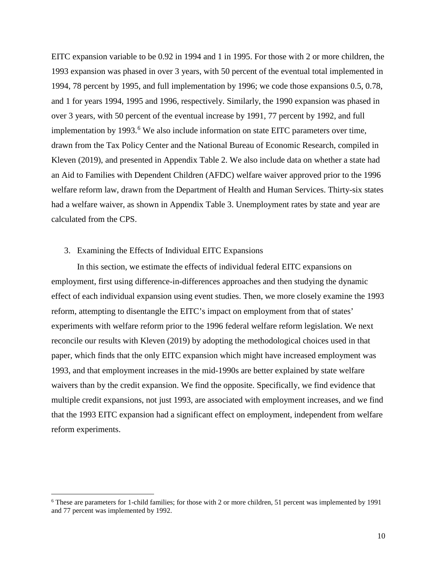EITC expansion variable to be 0.92 in 1994 and 1 in 1995. For those with 2 or more children, the 1993 expansion was phased in over 3 years, with 50 percent of the eventual total implemented in 1994, 78 percent by 1995, and full implementation by 1996; we code those expansions 0.5, 0.78, and 1 for years 1994, 1995 and 1996, respectively. Similarly, the 1990 expansion was phased in over 3 years, with 50 percent of the eventual increase by 1991, 77 percent by 1992, and full implementation by 1993. $6$  We also include information on state EITC parameters over time, drawn from the Tax Policy Center and the National Bureau of Economic Research, compiled in Kleven (2019), and presented in Appendix Table 2. We also include data on whether a state had an Aid to Families with Dependent Children (AFDC) welfare waiver approved prior to the 1996 welfare reform law, drawn from the Department of Health and Human Services. Thirty-six states had a welfare waiver, as shown in Appendix Table 3. Unemployment rates by state and year are calculated from the CPS.

#### 3. Examining the Effects of Individual EITC Expansions

l

In this section, we estimate the effects of individual federal EITC expansions on employment, first using difference-in-differences approaches and then studying the dynamic effect of each individual expansion using event studies. Then, we more closely examine the 1993 reform, attempting to disentangle the EITC's impact on employment from that of states' experiments with welfare reform prior to the 1996 federal welfare reform legislation. We next reconcile our results with Kleven (2019) by adopting the methodological choices used in that paper, which finds that the only EITC expansion which might have increased employment was 1993, and that employment increases in the mid-1990s are better explained by state welfare waivers than by the credit expansion. We find the opposite. Specifically, we find evidence that multiple credit expansions, not just 1993, are associated with employment increases, and we find that the 1993 EITC expansion had a significant effect on employment, independent from welfare reform experiments.

<span id="page-10-0"></span><sup>6</sup> These are parameters for 1-child families; for those with 2 or more children, 51 percent was implemented by 1991 and 77 percent was implemented by 1992.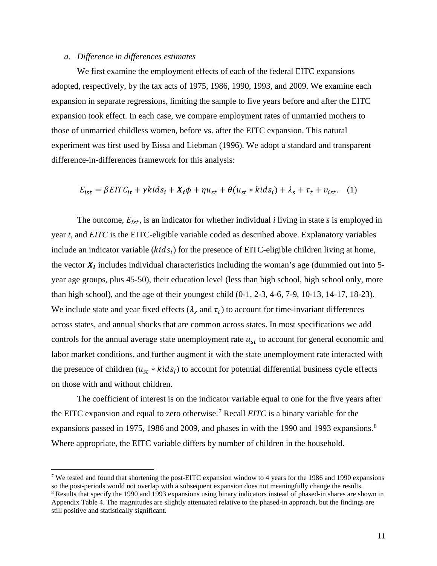# *a. Difference in differences estimates*

 $\overline{\phantom{a}}$ 

We first examine the employment effects of each of the federal EITC expansions adopted, respectively, by the tax acts of 1975, 1986, 1990, 1993, and 2009. We examine each expansion in separate regressions, limiting the sample to five years before and after the EITC expansion took effect. In each case, we compare employment rates of unmarried mothers to those of unmarried childless women, before vs. after the EITC expansion. This natural experiment was first used by Eissa and Liebman (1996). We adopt a standard and transparent difference-in-differences framework for this analysis:

$$
E_{ist} = \beta EITC_{it} + \gamma kids_i + X_i \phi + \eta u_{st} + \theta (u_{st} * kids_i) + \lambda_s + \tau_t + v_{ist}. \quad (1)
$$

The outcome,  $E_{i, st}$ , is an indicator for whether individual *i* living in state *s* is employed in year *t*, and *EITC* is the EITC-eligible variable coded as described above. Explanatory variables include an indicator variable  $(kids<sub>i</sub>)$  for the presence of EITC-eligible children living at home, the vector  $X_i$  includes individual characteristics including the woman's age (dummied out into 5year age groups, plus 45-50), their education level (less than high school, high school only, more than high school), and the age of their youngest child (0-1, 2-3, 4-6, 7-9, 10-13, 14-17, 18-23). We include state and year fixed effects ( $\lambda_s$  and  $\tau_t$ ) to account for time-invariant differences across states, and annual shocks that are common across states. In most specifications we add controls for the annual average state unemployment rate  $u_{st}$  to account for general economic and labor market conditions, and further augment it with the state unemployment rate interacted with the presence of children  $(u_{st} * kids_i)$  to account for potential differential business cycle effects on those with and without children.

The coefficient of interest is on the indicator variable equal to one for the five years after the EITC expansion and equal to zero otherwise.[7](#page-11-0) Recall *EITC* is a binary variable for the expansions passed in 1975, 19[8](#page-11-1)6 and 2009, and phases in with the 1990 and 1993 expansions.<sup>8</sup> Where appropriate, the EITC variable differs by number of children in the household.

<span id="page-11-0"></span><sup>&</sup>lt;sup>7</sup> We tested and found that shortening the post-EITC expansion window to 4 years for the 1986 and 1990 expansions so the post-periods would not overlap with a subsequent expansion does not meaningfully change the results.<br><sup>8</sup> Results that specify the 1990 and 1993 expansions using binary indicators instead of phased-in shares are show

<span id="page-11-1"></span>Appendix Table 4. The magnitudes are slightly attenuated relative to the phased-in approach, but the findings are still positive and statistically significant.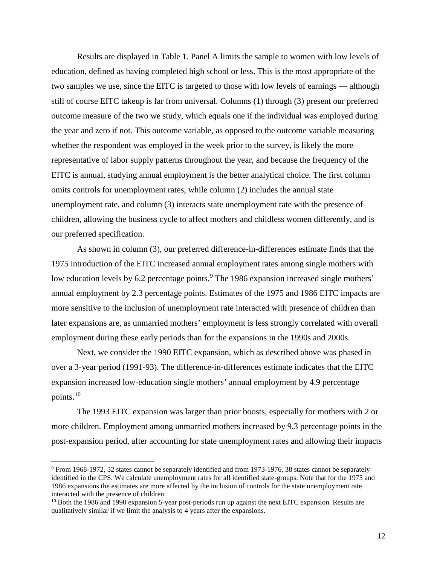Results are displayed in Table 1. Panel A limits the sample to women with low levels of education, defined as having completed high school or less. This is the most appropriate of the two samples we use, since the EITC is targeted to those with low levels of earnings — although still of course EITC takeup is far from universal. Columns (1) through (3) present our preferred outcome measure of the two we study, which equals one if the individual was employed during the year and zero if not. This outcome variable, as opposed to the outcome variable measuring whether the respondent was employed in the week prior to the survey, is likely the more representative of labor supply patterns throughout the year, and because the frequency of the EITC is annual, studying annual employment is the better analytical choice. The first column omits controls for unemployment rates, while column (2) includes the annual state unemployment rate, and column (3) interacts state unemployment rate with the presence of children, allowing the business cycle to affect mothers and childless women differently, and is our preferred specification.

As shown in column (3), our preferred difference-in-differences estimate finds that the 1975 introduction of the EITC increased annual employment rates among single mothers with low education levels by 6.2 percentage points.<sup>[9](#page-12-0)</sup> The 1986 expansion increased single mothers' annual employment by 2.3 percentage points. Estimates of the 1975 and 1986 EITC impacts are more sensitive to the inclusion of unemployment rate interacted with presence of children than later expansions are, as unmarried mothers' employment is less strongly correlated with overall employment during these early periods than for the expansions in the 1990s and 2000s.

Next, we consider the 1990 EITC expansion, which as described above was phased in over a 3-year period (1991-93). The difference-in-differences estimate indicates that the EITC expansion increased low-education single mothers' annual employment by 4.9 percentage points.[10](#page-12-1)

 The 1993 EITC expansion was larger than prior boosts, especially for mothers with 2 or more children. Employment among unmarried mothers increased by 9.3 percentage points in the post-expansion period, after accounting for state unemployment rates and allowing their impacts

 $\overline{a}$ 

<span id="page-12-0"></span><sup>9</sup> From 1968-1972, 32 states cannot be separately identified and from 1973-1976, 38 states cannot be separately identified in the CPS. We calculate unemployment rates for all identified state-groups. Note that for the 1975 and 1986 expansions the estimates are more affected by the inclusion of controls for the state unemployment rate interacted with the presence of children.

<span id="page-12-1"></span><sup>&</sup>lt;sup>10</sup> Both the 1986 and 1990 expansion 5-year post-periods run up against the next EITC expansion. Results are qualitatively similar if we limit the analysis to 4 years after the expansions.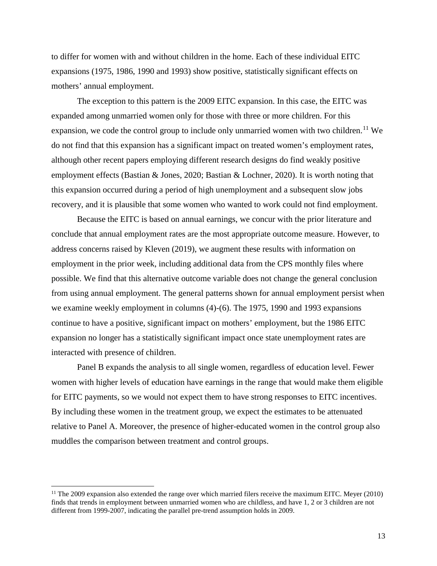to differ for women with and without children in the home. Each of these individual EITC expansions (1975, 1986, 1990 and 1993) show positive, statistically significant effects on mothers' annual employment.

The exception to this pattern is the 2009 EITC expansion. In this case, the EITC was expanded among unmarried women only for those with three or more children. For this expansion, we code the control group to include only unmarried women with two children.<sup>[11](#page-13-0)</sup> We do not find that this expansion has a significant impact on treated women's employment rates, although other recent papers employing different research designs do find weakly positive employment effects (Bastian & Jones, 2020; Bastian & Lochner, 2020). It is worth noting that this expansion occurred during a period of high unemployment and a subsequent slow jobs recovery, and it is plausible that some women who wanted to work could not find employment.

 Because the EITC is based on annual earnings, we concur with the prior literature and conclude that annual employment rates are the most appropriate outcome measure. However, to address concerns raised by Kleven (2019), we augment these results with information on employment in the prior week, including additional data from the CPS monthly files where possible. We find that this alternative outcome variable does not change the general conclusion from using annual employment. The general patterns shown for annual employment persist when we examine weekly employment in columns (4)-(6). The 1975, 1990 and 1993 expansions continue to have a positive, significant impact on mothers' employment, but the 1986 EITC expansion no longer has a statistically significant impact once state unemployment rates are interacted with presence of children.

 Panel B expands the analysis to all single women, regardless of education level. Fewer women with higher levels of education have earnings in the range that would make them eligible for EITC payments, so we would not expect them to have strong responses to EITC incentives. By including these women in the treatment group, we expect the estimates to be attenuated relative to Panel A. Moreover, the presence of higher-educated women in the control group also muddles the comparison between treatment and control groups.

l

<span id="page-13-0"></span> $11$  The 2009 expansion also extended the range over which married filers receive the maximum EITC. Meyer (2010) finds that trends in employment between unmarried women who are childless, and have 1, 2 or 3 children are not different from 1999-2007, indicating the parallel pre-trend assumption holds in 2009.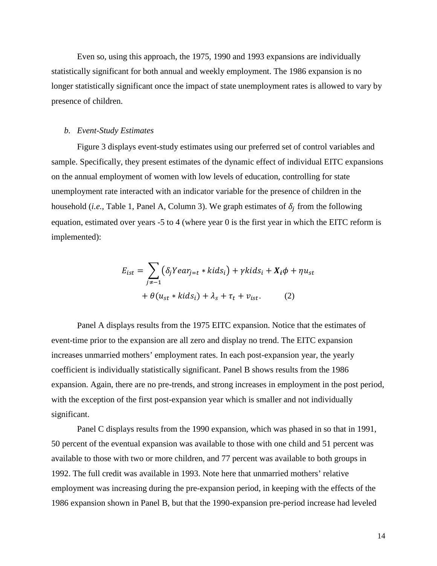Even so, using this approach, the 1975, 1990 and 1993 expansions are individually statistically significant for both annual and weekly employment. The 1986 expansion is no longer statistically significant once the impact of state unemployment rates is allowed to vary by presence of children.

#### *b. Event-Study Estimates*

Figure 3 displays event-study estimates using our preferred set of control variables and sample. Specifically, they present estimates of the dynamic effect of individual EITC expansions on the annual employment of women with low levels of education, controlling for state unemployment rate interacted with an indicator variable for the presence of children in the household (*i.e.*, Table 1, Panel A, Column 3). We graph estimates of  $\delta_i$  from the following equation, estimated over years -5 to 4 (where year 0 is the first year in which the EITC reform is implemented):

$$
E_{ist} = \sum_{j \neq -1} (\delta_j Y e a r_{j=t} * k i d s_i) + \gamma k i d s_i + X_i \phi + \eta u_{st}
$$

$$
+ \theta (u_{st} * k i d s_i) + \lambda_s + \tau_t + v_{ist}. \tag{2}
$$

Panel A displays results from the 1975 EITC expansion. Notice that the estimates of event-time prior to the expansion are all zero and display no trend. The EITC expansion increases unmarried mothers' employment rates. In each post-expansion year, the yearly coefficient is individually statistically significant. Panel B shows results from the 1986 expansion. Again, there are no pre-trends, and strong increases in employment in the post period, with the exception of the first post-expansion year which is smaller and not individually significant.

Panel C displays results from the 1990 expansion, which was phased in so that in 1991, 50 percent of the eventual expansion was available to those with one child and 51 percent was available to those with two or more children, and 77 percent was available to both groups in 1992. The full credit was available in 1993. Note here that unmarried mothers' relative employment was increasing during the pre-expansion period, in keeping with the effects of the 1986 expansion shown in Panel B, but that the 1990-expansion pre-period increase had leveled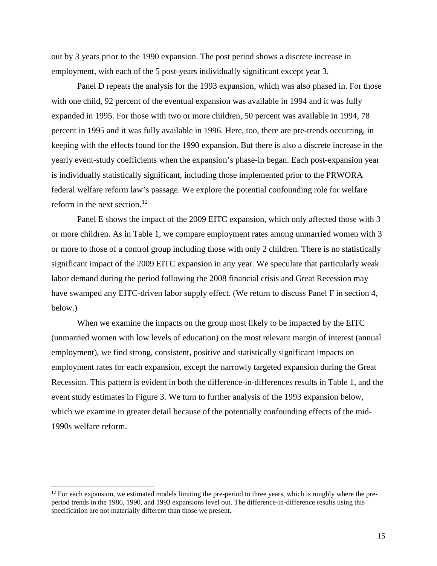out by 3 years prior to the 1990 expansion. The post period shows a discrete increase in employment, with each of the 5 post-years individually significant except year 3.

Panel D repeats the analysis for the 1993 expansion, which was also phased in. For those with one child, 92 percent of the eventual expansion was available in 1994 and it was fully expanded in 1995. For those with two or more children, 50 percent was available in 1994, 78 percent in 1995 and it was fully available in 1996. Here, too, there are pre-trends occurring, in keeping with the effects found for the 1990 expansion. But there is also a discrete increase in the yearly event-study coefficients when the expansion's phase-in began. Each post-expansion year is individually statistically significant, including those implemented prior to the PRWORA federal welfare reform law's passage. We explore the potential confounding role for welfare reform in the next section. [12](#page-15-0)

Panel E shows the impact of the 2009 EITC expansion, which only affected those with 3 or more children. As in Table 1, we compare employment rates among unmarried women with 3 or more to those of a control group including those with only 2 children. There is no statistically significant impact of the 2009 EITC expansion in any year. We speculate that particularly weak labor demand during the period following the 2008 financial crisis and Great Recession may have swamped any EITC-driven labor supply effect. (We return to discuss Panel F in section 4, below.)

When we examine the impacts on the group most likely to be impacted by the EITC (unmarried women with low levels of education) on the most relevant margin of interest (annual employment), we find strong, consistent, positive and statistically significant impacts on employment rates for each expansion, except the narrowly targeted expansion during the Great Recession. This pattern is evident in both the difference-in-differences results in Table 1, and the event study estimates in Figure 3. We turn to further analysis of the 1993 expansion below, which we examine in greater detail because of the potentially confounding effects of the mid-1990s welfare reform.

l

<span id="page-15-0"></span> $12$  For each expansion, we estimated models limiting the pre-period to three years, which is roughly where the preperiod trends in the 1986, 1990, and 1993 expansions level out. The difference-in-difference results using this specification are not materially different than those we present.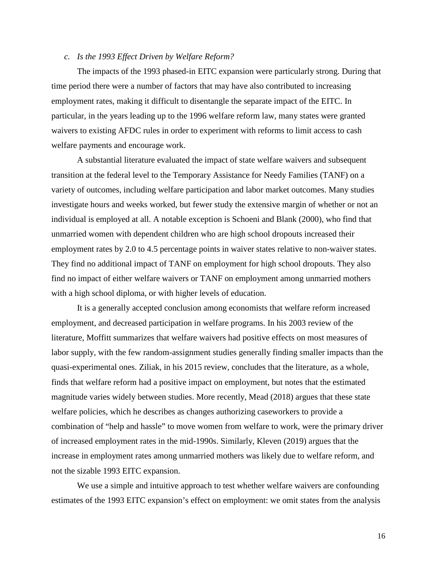## *c. Is the 1993 Effect Driven by Welfare Reform?*

The impacts of the 1993 phased-in EITC expansion were particularly strong. During that time period there were a number of factors that may have also contributed to increasing employment rates, making it difficult to disentangle the separate impact of the EITC. In particular, in the years leading up to the 1996 welfare reform law, many states were granted waivers to existing AFDC rules in order to experiment with reforms to limit access to cash welfare payments and encourage work.

A substantial literature evaluated the impact of state welfare waivers and subsequent transition at the federal level to the Temporary Assistance for Needy Families (TANF) on a variety of outcomes, including welfare participation and labor market outcomes. Many studies investigate hours and weeks worked, but fewer study the extensive margin of whether or not an individual is employed at all. A notable exception is Schoeni and Blank (2000), who find that unmarried women with dependent children who are high school dropouts increased their employment rates by 2.0 to 4.5 percentage points in waiver states relative to non-waiver states. They find no additional impact of TANF on employment for high school dropouts. They also find no impact of either welfare waivers or TANF on employment among unmarried mothers with a high school diploma, or with higher levels of education.

It is a generally accepted conclusion among economists that welfare reform increased employment, and decreased participation in welfare programs. In his 2003 review of the literature, Moffitt summarizes that welfare waivers had positive effects on most measures of labor supply, with the few random-assignment studies generally finding smaller impacts than the quasi-experimental ones. Ziliak, in his 2015 review, concludes that the literature, as a whole, finds that welfare reform had a positive impact on employment, but notes that the estimated magnitude varies widely between studies. More recently, Mead (2018) argues that these state welfare policies, which he describes as changes authorizing caseworkers to provide a combination of "help and hassle" to move women from welfare to work, were the primary driver of increased employment rates in the mid-1990s. Similarly, Kleven (2019) argues that the increase in employment rates among unmarried mothers was likely due to welfare reform, and not the sizable 1993 EITC expansion.

We use a simple and intuitive approach to test whether welfare waivers are confounding estimates of the 1993 EITC expansion's effect on employment: we omit states from the analysis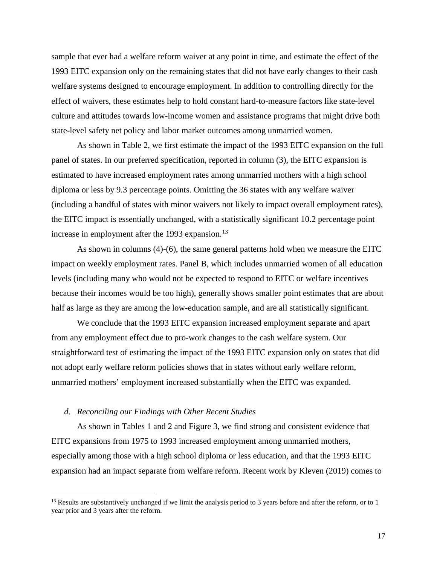sample that ever had a welfare reform waiver at any point in time, and estimate the effect of the 1993 EITC expansion only on the remaining states that did not have early changes to their cash welfare systems designed to encourage employment. In addition to controlling directly for the effect of waivers, these estimates help to hold constant hard-to-measure factors like state-level culture and attitudes towards low-income women and assistance programs that might drive both state-level safety net policy and labor market outcomes among unmarried women.

As shown in Table 2, we first estimate the impact of the 1993 EITC expansion on the full panel of states. In our preferred specification, reported in column (3), the EITC expansion is estimated to have increased employment rates among unmarried mothers with a high school diploma or less by 9.3 percentage points. Omitting the 36 states with any welfare waiver (including a handful of states with minor waivers not likely to impact overall employment rates), the EITC impact is essentially unchanged, with a statistically significant 10.2 percentage point increase in employment after the 1993 expansion.<sup>[13](#page-17-0)</sup>

 As shown in columns (4)-(6), the same general patterns hold when we measure the EITC impact on weekly employment rates. Panel B, which includes unmarried women of all education levels (including many who would not be expected to respond to EITC or welfare incentives because their incomes would be too high), generally shows smaller point estimates that are about half as large as they are among the low-education sample, and are all statistically significant.

 We conclude that the 1993 EITC expansion increased employment separate and apart from any employment effect due to pro-work changes to the cash welfare system. Our straightforward test of estimating the impact of the 1993 EITC expansion only on states that did not adopt early welfare reform policies shows that in states without early welfare reform, unmarried mothers' employment increased substantially when the EITC was expanded.

#### *d. Reconciling our Findings with Other Recent Studies*

l

As shown in Tables 1 and 2 and Figure 3, we find strong and consistent evidence that EITC expansions from 1975 to 1993 increased employment among unmarried mothers, especially among those with a high school diploma or less education, and that the 1993 EITC expansion had an impact separate from welfare reform. Recent work by Kleven (2019) comes to

<span id="page-17-0"></span> $13$  Results are substantively unchanged if we limit the analysis period to 3 years before and after the reform, or to 1 year prior and 3 years after the reform.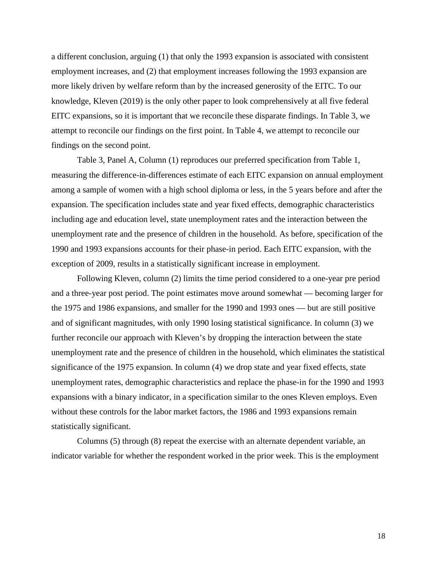a different conclusion, arguing (1) that only the 1993 expansion is associated with consistent employment increases, and (2) that employment increases following the 1993 expansion are more likely driven by welfare reform than by the increased generosity of the EITC. To our knowledge, Kleven (2019) is the only other paper to look comprehensively at all five federal EITC expansions, so it is important that we reconcile these disparate findings. In Table 3, we attempt to reconcile our findings on the first point. In Table 4, we attempt to reconcile our findings on the second point.

Table 3, Panel A, Column (1) reproduces our preferred specification from Table 1, measuring the difference-in-differences estimate of each EITC expansion on annual employment among a sample of women with a high school diploma or less, in the 5 years before and after the expansion. The specification includes state and year fixed effects, demographic characteristics including age and education level, state unemployment rates and the interaction between the unemployment rate and the presence of children in the household. As before, specification of the 1990 and 1993 expansions accounts for their phase-in period. Each EITC expansion, with the exception of 2009, results in a statistically significant increase in employment.

Following Kleven, column (2) limits the time period considered to a one-year pre period and a three-year post period. The point estimates move around somewhat — becoming larger for the 1975 and 1986 expansions, and smaller for the 1990 and 1993 ones — but are still positive and of significant magnitudes, with only 1990 losing statistical significance. In column (3) we further reconcile our approach with Kleven's by dropping the interaction between the state unemployment rate and the presence of children in the household, which eliminates the statistical significance of the 1975 expansion. In column (4) we drop state and year fixed effects, state unemployment rates, demographic characteristics and replace the phase-in for the 1990 and 1993 expansions with a binary indicator, in a specification similar to the ones Kleven employs. Even without these controls for the labor market factors, the 1986 and 1993 expansions remain statistically significant.

 Columns (5) through (8) repeat the exercise with an alternate dependent variable, an indicator variable for whether the respondent worked in the prior week. This is the employment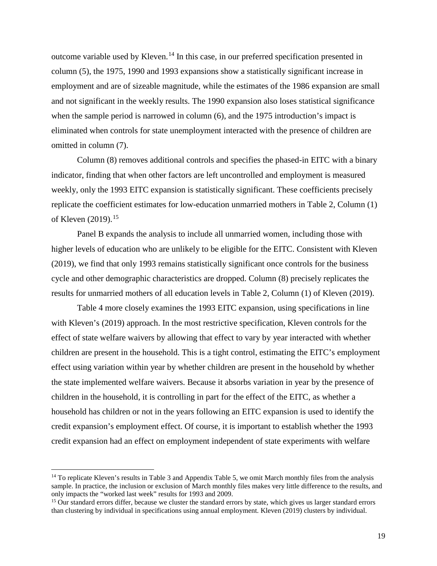outcome variable used by Kleven.[14](#page-19-0) In this case, in our preferred specification presented in column (5), the 1975, 1990 and 1993 expansions show a statistically significant increase in employment and are of sizeable magnitude, while the estimates of the 1986 expansion are small and not significant in the weekly results. The 1990 expansion also loses statistical significance when the sample period is narrowed in column (6), and the 1975 introduction's impact is eliminated when controls for state unemployment interacted with the presence of children are omitted in column (7).

Column (8) removes additional controls and specifies the phased-in EITC with a binary indicator, finding that when other factors are left uncontrolled and employment is measured weekly, only the 1993 EITC expansion is statistically significant. These coefficients precisely replicate the coefficient estimates for low-education unmarried mothers in Table 2, Column (1) of Kleven (2019).<sup>[15](#page-19-1)</sup>

 Panel B expands the analysis to include all unmarried women, including those with higher levels of education who are unlikely to be eligible for the EITC. Consistent with Kleven (2019), we find that only 1993 remains statistically significant once controls for the business cycle and other demographic characteristics are dropped. Column (8) precisely replicates the results for unmarried mothers of all education levels in Table 2, Column (1) of Kleven (2019).

Table 4 more closely examines the 1993 EITC expansion, using specifications in line with Kleven's (2019) approach. In the most restrictive specification, Kleven controls for the effect of state welfare waivers by allowing that effect to vary by year interacted with whether children are present in the household. This is a tight control, estimating the EITC's employment effect using variation within year by whether children are present in the household by whether the state implemented welfare waivers. Because it absorbs variation in year by the presence of children in the household, it is controlling in part for the effect of the EITC, as whether a household has children or not in the years following an EITC expansion is used to identify the credit expansion's employment effect. Of course, it is important to establish whether the 1993 credit expansion had an effect on employment independent of state experiments with welfare

 $\overline{\phantom{a}}$ 

<span id="page-19-0"></span> $14$  To replicate Kleven's results in Table 3 and Appendix Table 5, we omit March monthly files from the analysis sample. In practice, the inclusion or exclusion of March monthly files makes very little difference to the results, and only impacts the "worked last week" results for 1993 and 2009.

<span id="page-19-1"></span><sup>&</sup>lt;sup>15</sup> Our standard errors differ, because we cluster the standard errors by state, which gives us larger standard errors than clustering by individual in specifications using annual employment. Kleven (2019) clusters by individual.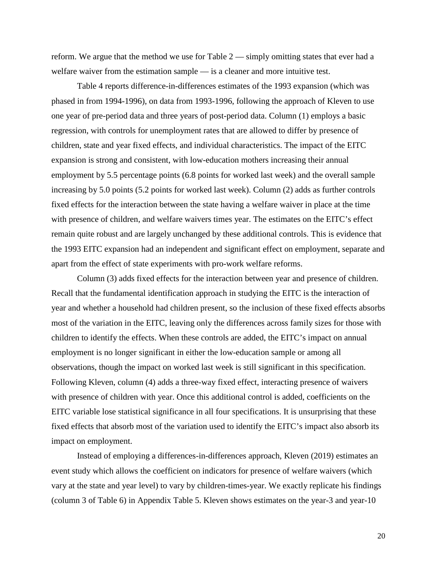reform. We argue that the method we use for Table 2 — simply omitting states that ever had a welfare waiver from the estimation sample — is a cleaner and more intuitive test.

Table 4 reports difference-in-differences estimates of the 1993 expansion (which was phased in from 1994-1996), on data from 1993-1996, following the approach of Kleven to use one year of pre-period data and three years of post-period data. Column (1) employs a basic regression, with controls for unemployment rates that are allowed to differ by presence of children, state and year fixed effects, and individual characteristics. The impact of the EITC expansion is strong and consistent, with low-education mothers increasing their annual employment by 5.5 percentage points (6.8 points for worked last week) and the overall sample increasing by 5.0 points (5.2 points for worked last week). Column (2) adds as further controls fixed effects for the interaction between the state having a welfare waiver in place at the time with presence of children, and welfare waivers times year. The estimates on the EITC's effect remain quite robust and are largely unchanged by these additional controls. This is evidence that the 1993 EITC expansion had an independent and significant effect on employment, separate and apart from the effect of state experiments with pro-work welfare reforms.

Column (3) adds fixed effects for the interaction between year and presence of children. Recall that the fundamental identification approach in studying the EITC is the interaction of year and whether a household had children present, so the inclusion of these fixed effects absorbs most of the variation in the EITC, leaving only the differences across family sizes for those with children to identify the effects. When these controls are added, the EITC's impact on annual employment is no longer significant in either the low-education sample or among all observations, though the impact on worked last week is still significant in this specification. Following Kleven, column (4) adds a three-way fixed effect, interacting presence of waivers with presence of children with year. Once this additional control is added, coefficients on the EITC variable lose statistical significance in all four specifications. It is unsurprising that these fixed effects that absorb most of the variation used to identify the EITC's impact also absorb its impact on employment.

Instead of employing a differences-in-differences approach, Kleven (2019) estimates an event study which allows the coefficient on indicators for presence of welfare waivers (which vary at the state and year level) to vary by children-times-year. We exactly replicate his findings (column 3 of Table 6) in Appendix Table 5. Kleven shows estimates on the year-3 and year-10

20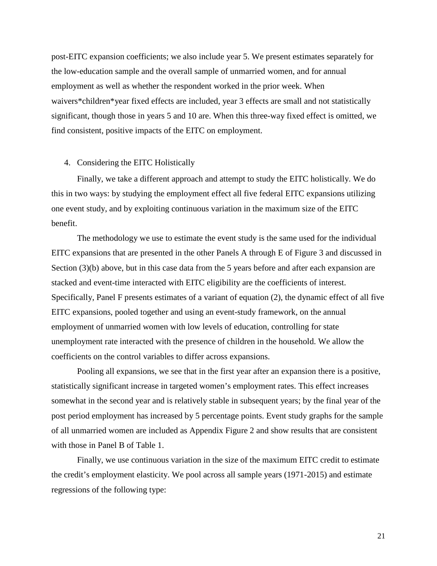post-EITC expansion coefficients; we also include year 5. We present estimates separately for the low-education sample and the overall sample of unmarried women, and for annual employment as well as whether the respondent worked in the prior week. When waivers\*children\*year fixed effects are included, year 3 effects are small and not statistically significant, though those in years 5 and 10 are. When this three-way fixed effect is omitted, we find consistent, positive impacts of the EITC on employment.

### 4. Considering the EITC Holistically

Finally, we take a different approach and attempt to study the EITC holistically. We do this in two ways: by studying the employment effect all five federal EITC expansions utilizing one event study, and by exploiting continuous variation in the maximum size of the EITC benefit.

The methodology we use to estimate the event study is the same used for the individual EITC expansions that are presented in the other Panels A through E of Figure 3 and discussed in Section (3)(b) above, but in this case data from the 5 years before and after each expansion are stacked and event-time interacted with EITC eligibility are the coefficients of interest. Specifically, Panel F presents estimates of a variant of equation (2), the dynamic effect of all five EITC expansions, pooled together and using an event-study framework, on the annual employment of unmarried women with low levels of education, controlling for state unemployment rate interacted with the presence of children in the household. We allow the coefficients on the control variables to differ across expansions.

Pooling all expansions, we see that in the first year after an expansion there is a positive, statistically significant increase in targeted women's employment rates. This effect increases somewhat in the second year and is relatively stable in subsequent years; by the final year of the post period employment has increased by 5 percentage points. Event study graphs for the sample of all unmarried women are included as Appendix Figure 2 and show results that are consistent with those in Panel B of Table 1.

Finally, we use continuous variation in the size of the maximum EITC credit to estimate the credit's employment elasticity. We pool across all sample years (1971-2015) and estimate regressions of the following type: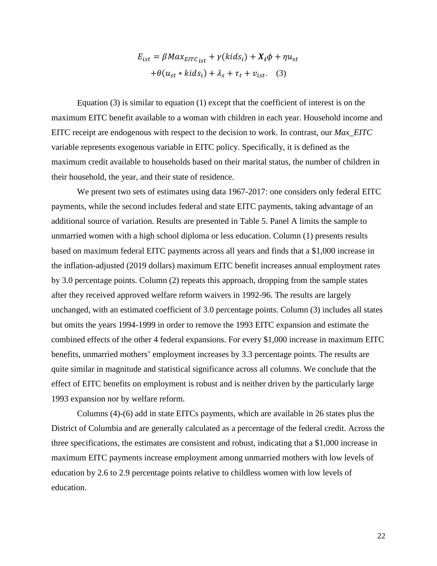$$
E_{ist} = \beta Max_{EITC_{ist}} + \gamma (kids_i) + X_i \phi + \eta u_{st}
$$

$$
+ \theta (u_{st} * kids_i) + \lambda_s + \tau_t + v_{ist}. \quad (3)
$$

Equation  $(3)$  is similar to equation  $(1)$  except that the coefficient of interest is on the maximum EITC benefit available to a woman with children in each year. Household income and EITC receipt are endogenous with respect to the decision to work. In contrast, our *Max\_EITC* variable represents exogenous variable in EITC policy. Specifically, it is defined as the maximum credit available to households based on their marital status, the number of children in their household, the year, and their state of residence.

We present two sets of estimates using data 1967-2017: one considers only federal EITC payments, while the second includes federal and state EITC payments, taking advantage of an additional source of variation. Results are presented in Table 5. Panel A limits the sample to unmarried women with a high school diploma or less education. Column (1) presents results based on maximum federal EITC payments across all years and finds that a \$1,000 increase in the inflation-adjusted (2019 dollars) maximum EITC benefit increases annual employment rates by 3.0 percentage points. Column (2) repeats this approach, dropping from the sample states after they received approved welfare reform waivers in 1992-96. The results are largely unchanged, with an estimated coefficient of 3.0 percentage points. Column (3) includes all states but omits the years 1994-1999 in order to remove the 1993 EITC expansion and estimate the combined effects of the other 4 federal expansions. For every \$1,000 increase in maximum EITC benefits, unmarried mothers' employment increases by 3.3 percentage points. The results are quite similar in magnitude and statistical significance across all columns. We conclude that the effect of EITC benefits on employment is robust and is neither driven by the particularly large 1993 expansion nor by welfare reform.

Columns (4)-(6) add in state EITCs payments, which are available in 26 states plus the District of Columbia and are generally calculated as a percentage of the federal credit. Across the three specifications, the estimates are consistent and robust, indicating that a \$1,000 increase in maximum EITC payments increase employment among unmarried mothers with low levels of education by 2.6 to 2.9 percentage points relative to childless women with low levels of education.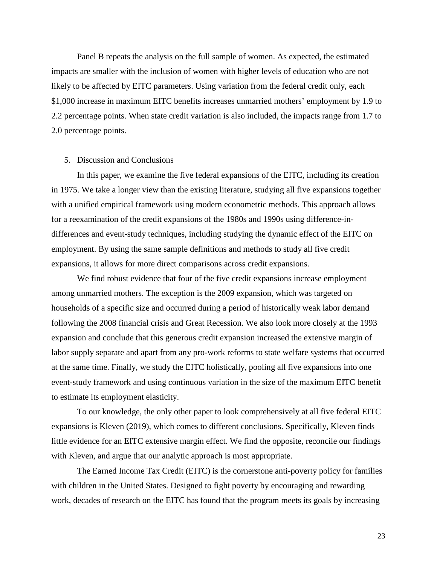Panel B repeats the analysis on the full sample of women. As expected, the estimated impacts are smaller with the inclusion of women with higher levels of education who are not likely to be affected by EITC parameters. Using variation from the federal credit only, each \$1,000 increase in maximum EITC benefits increases unmarried mothers' employment by 1.9 to 2.2 percentage points. When state credit variation is also included, the impacts range from 1.7 to 2.0 percentage points.

### 5. Discussion and Conclusions

In this paper, we examine the five federal expansions of the EITC, including its creation in 1975. We take a longer view than the existing literature, studying all five expansions together with a unified empirical framework using modern econometric methods. This approach allows for a reexamination of the credit expansions of the 1980s and 1990s using difference-indifferences and event-study techniques, including studying the dynamic effect of the EITC on employment. By using the same sample definitions and methods to study all five credit expansions, it allows for more direct comparisons across credit expansions.

We find robust evidence that four of the five credit expansions increase employment among unmarried mothers. The exception is the 2009 expansion, which was targeted on households of a specific size and occurred during a period of historically weak labor demand following the 2008 financial crisis and Great Recession. We also look more closely at the 1993 expansion and conclude that this generous credit expansion increased the extensive margin of labor supply separate and apart from any pro-work reforms to state welfare systems that occurred at the same time. Finally, we study the EITC holistically, pooling all five expansions into one event-study framework and using continuous variation in the size of the maximum EITC benefit to estimate its employment elasticity.

To our knowledge, the only other paper to look comprehensively at all five federal EITC expansions is Kleven (2019), which comes to different conclusions. Specifically, Kleven finds little evidence for an EITC extensive margin effect. We find the opposite, reconcile our findings with Kleven, and argue that our analytic approach is most appropriate.

The Earned Income Tax Credit (EITC) is the cornerstone anti-poverty policy for families with children in the United States. Designed to fight poverty by encouraging and rewarding work, decades of research on the EITC has found that the program meets its goals by increasing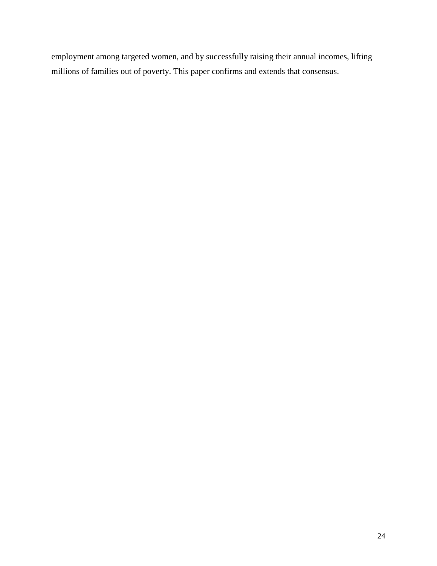employment among targeted women, and by successfully raising their annual incomes, lifting millions of families out of poverty. This paper confirms and extends that consensus.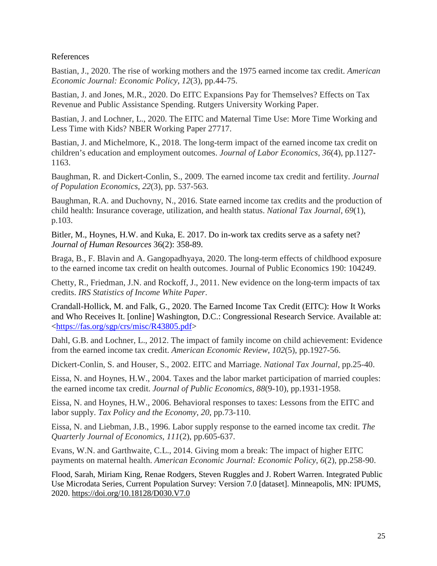# References

Bastian, J., 2020. The rise of working mothers and the 1975 earned income tax credit. *American Economic Journal: Economic Policy*, *12*(3), pp.44-75.

Bastian, J. and Jones, M.R., 2020. Do EITC Expansions Pay for Themselves? Effects on Tax Revenue and Public Assistance Spending. Rutgers University Working Paper.

Bastian, J. and Lochner, L., 2020. The EITC and Maternal Time Use: More Time Working and Less Time with Kids? NBER Working Paper 27717.

Bastian, J. and Michelmore, K., 2018. The long-term impact of the earned income tax credit on children's education and employment outcomes. *Journal of Labor Economics*, *36*(4), pp.1127- 1163.

Baughman, R. and Dickert-Conlin, S., 2009. The earned income tax credit and fertility. *Journal of Population Economics*, *22*(3), pp. 537-563.

Baughman, R.A. and Duchovny, N., 2016. State earned income tax credits and the production of child health: Insurance coverage, utilization, and health status. *National Tax Journal*, *69*(1), p.103.

Bitler, M., Hoynes, H.W. and Kuka, E. 2017. Do in-work tax credits serve as a safety net? *Journal of Human Resources* 36(2): 358-89.

Braga, B., F. Blavin and A. Gangopadhyaya, 2020. The long-term effects of childhood exposure to the earned income tax credit on health outcomes. Journal of Public Economics 190: 104249.

Chetty, R., Friedman, J.N. and Rockoff, J., 2011. New evidence on the long-term impacts of tax credits. *IRS Statistics of Income White Paper*.

Crandall-Hollick, M. and Falk, G., 2020. The Earned Income Tax Credit (EITC): How It Works and Who Receives It. [online] Washington, D.C.: Congressional Research Service. Available at: [<https://fas.org/sgp/crs/misc/R43805.pdf>](https://urldefense.com/v3/__https:/fas.org/sgp/crs/misc/R43805.pdf__;!!Dq0X2DkFhyF93HkjWTBQKhk!GK0s9luY16Ioh6wIP9oZzl0wrbc2oZg7NA7KUV9EI9T-SyLgKMksYUbX8Nt2KuViUA$)

Dahl, G.B. and Lochner, L., 2012. The impact of family income on child achievement: Evidence from the earned income tax credit. *American Economic Review*, *102*(5), pp.1927-56.

Dickert-Conlin, S. and Houser, S., 2002. EITC and Marriage. *National Tax Journal*, pp.25-40.

Eissa, N. and Hoynes, H.W., 2004. Taxes and the labor market participation of married couples: the earned income tax credit. *Journal of Public Economics*, *88*(9-10), pp.1931-1958.

Eissa, N. and Hoynes, H.W., 2006. Behavioral responses to taxes: Lessons from the EITC and labor supply. *Tax Policy and the Economy*, *20*, pp.73-110.

Eissa, N. and Liebman, J.B., 1996. Labor supply response to the earned income tax credit. *The Quarterly Journal of Economics*, *111*(2), pp.605-637.

Evans, W.N. and Garthwaite, C.L., 2014. Giving mom a break: The impact of higher EITC payments on maternal health. *American Economic Journal: Economic Policy*, *6*(2), pp.258-90.

Flood, Sarah, Miriam King, Renae Rodgers, Steven Ruggles and J. Robert Warren. Integrated Public Use Microdata Series, Current Population Survey: Version 7.0 [dataset]. Minneapolis, MN: IPUMS, 2020.<https://doi.org/10.18128/D030.V7.0>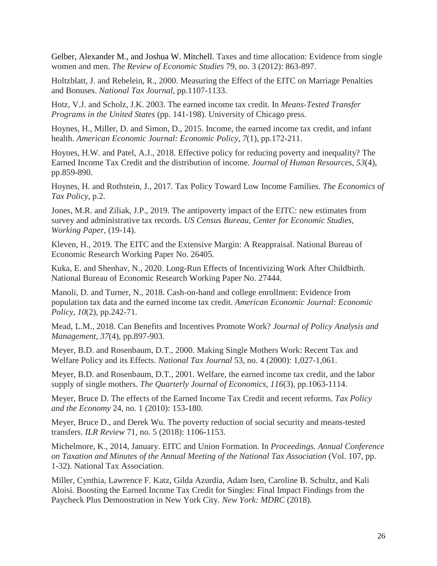Gelber, Alexander M., and Joshua W. Mitchell. Taxes and time allocation: Evidence from single women and men. *The Review of Economic Studies* 79, no. 3 (2012): 863-897.

Holtzblatt, J. and Rebelein, R., 2000. Measuring the Effect of the EITC on Marriage Penalties and Bonuses. *National Tax Journal*, pp.1107-1133.

Hotz, V.J. and Scholz, J.K. 2003. The earned income tax credit. In *Means-Tested Transfer Programs in the United States* (pp. 141-198). University of Chicago press.

Hoynes, H., Miller, D. and Simon, D., 2015. Income, the earned income tax credit, and infant health. *American Economic Journal: Economic Policy*, *7*(1), pp.172-211.

Hoynes, H.W. and Patel, A.J., 2018. Effective policy for reducing poverty and inequality? The Earned Income Tax Credit and the distribution of income. *Journal of Human Resources*, *53*(4), pp.859-890.

Hoynes, H. and Rothstein, J., 2017. Tax Policy Toward Low Income Families. *The Economics of Tax Policy*, p.2.

Jones, M.R. and Ziliak, J.P., 2019. The antipoverty impact of the EITC: new estimates from survey and administrative tax records. *US Census Bureau, Center for Economic Studies, Working Paper*, (19-14).

Kleven, H., 2019. The EITC and the Extensive Margin: A Reappraisal. National Bureau of Economic Research Working Paper No. 26405.

Kuka, E. and Shenhav, N., 2020. Long-Run Effects of Incentivizing Work After Childbirth. National Bureau of Economic Research Working Paper No. 27444.

Manoli, D. and Turner, N., 2018. Cash-on-hand and college enrollment: Evidence from population tax data and the earned income tax credit. *American Economic Journal: Economic Policy*, *10*(2), pp.242-71.

Mead, L.M., 2018. Can Benefits and Incentives Promote Work? *Journal of Policy Analysis and Management*, *37*(4), pp.897-903.

Meyer, B.D. and Rosenbaum, D.T., 2000. Making Single Mothers Work: Recent Tax and Welfare Policy and its Effects. *National Tax Journal* 53, no. 4 (2000): 1,027-1,061.

Meyer, B.D. and Rosenbaum, D.T., 2001. Welfare, the earned income tax credit, and the labor supply of single mothers. *The Quarterly Journal of Economics*, *116*(3), pp.1063-1114.

Meyer, Bruce D. The effects of the Earned Income Tax Credit and recent reforms. *Tax Policy and the Economy* 24, no. 1 (2010): 153-180.

Meyer, Bruce D., and Derek Wu. The poverty reduction of social security and means-tested transfers. *ILR Review* 71, no. 5 (2018): 1106-1153.

Michelmore, K., 2014, January. EITC and Union Formation. In *Proceedings. Annual Conference on Taxation and Minutes of the Annual Meeting of the National Tax Association* (Vol. 107, pp. 1-32). National Tax Association.

Miller, Cynthia, Lawrence F. Katz, Gilda Azurdia, Adam Isen, Caroline B. Schultz, and Kali Aloisi. Boosting the Earned Income Tax Credit for Singles: Final Impact Findings from the Paycheck Plus Demonstration in New York City. *New York: MDRC* (2018).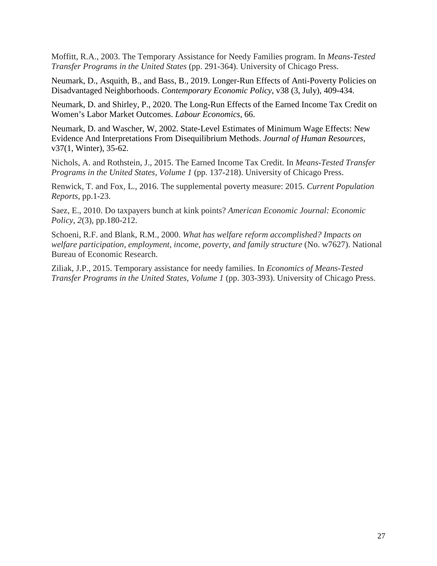Moffitt, R.A., 2003. The Temporary Assistance for Needy Families program. In *Means-Tested Transfer Programs in the United States* (pp. 291-364). University of Chicago Press.

Neumark, D., Asquith, B., and Bass, B., 2019. Longer-Run Effects of Anti-Poverty Policies on Disadvantaged Neighborhoods. *Contemporary Economic Policy*, v38 (3, July), 409-434.

Neumark, D. and Shirley, P., 2020. The Long-Run Effects of the Earned Income Tax Credit on Women's Labor Market Outcomes. *Labour Economics,* 66.

Neumark, D. and Wascher, W, 2002. State-Level Estimates of Minimum Wage Effects: New Evidence And Interpretations From Disequilibrium Methods. *Journal of Human Resources*, v37(1, Winter), 35-62.

Nichols, A. and Rothstein, J., 2015. The Earned Income Tax Credit. In *Means-Tested Transfer Programs in the United States, Volume 1* (pp. 137-218). University of Chicago Press.

Renwick, T. and Fox, L., 2016. The supplemental poverty measure: 2015. *Current Population Reports*, pp.1-23.

Saez, E., 2010. Do taxpayers bunch at kink points? *American Economic Journal: Economic Policy*, *2*(3), pp.180-212.

Schoeni, R.F. and Blank, R.M., 2000. *What has welfare reform accomplished? Impacts on welfare participation, employment, income, poverty, and family structure* (No. w7627). National Bureau of Economic Research.

Ziliak, J.P., 2015. Temporary assistance for needy families. In *Economics of Means-Tested Transfer Programs in the United States, Volume 1* (pp. 303-393). University of Chicago Press.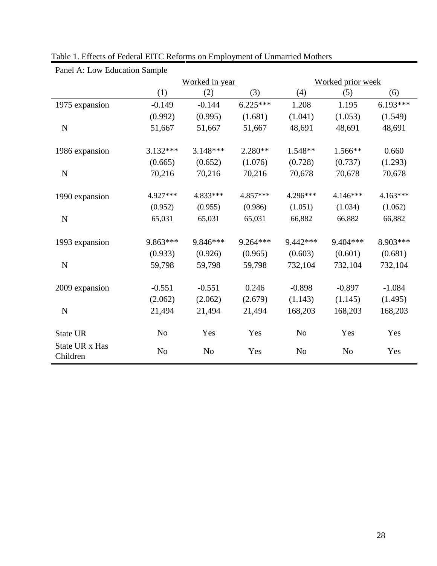| Panel A: Low Education Sample |                |                |            |                |                   |            |  |
|-------------------------------|----------------|----------------|------------|----------------|-------------------|------------|--|
|                               |                | Worked in year |            |                | Worked prior week |            |  |
|                               | (1)            | (2)            | (3)        | (4)            | (5)               | (6)        |  |
| 1975 expansion                | $-0.149$       | $-0.144$       | $6.225***$ | 1.208          | 1.195             | $6.193***$ |  |
|                               | (0.992)        | (0.995)        | (1.681)    | (1.041)        | (1.053)           | (1.549)    |  |
| $\mathbf N$                   | 51,667         | 51,667         | 51,667     | 48,691         | 48,691            | 48,691     |  |
|                               | $3.132***$     | $3.148***$     | 2.280**    | 1.548**        |                   |            |  |
| 1986 expansion                |                |                |            |                | 1.566**           | 0.660      |  |
|                               | (0.665)        | (0.652)        | (1.076)    | (0.728)        | (0.737)           | (1.293)    |  |
| $\mathbf N$                   | 70,216         | 70,216         | 70,216     | 70,678         | 70,678            | 70,678     |  |
| 1990 expansion                | 4.927***       | 4.833***       | 4.857***   | 4.296***       | 4.146***          | $4.163***$ |  |
|                               | (0.952)        | (0.955)        | (0.986)    | (1.051)        | (1.034)           | (1.062)    |  |
| $\mathbf N$                   | 65,031         | 65,031         | 65,031     | 66,882         | 66,882            | 66,882     |  |
| 1993 expansion                | 9.863***       | 9.846***       | $9.264***$ | 9.442 ***      | 9.404***          | 8.903***   |  |
|                               | (0.933)        | (0.926)        | (0.965)    | (0.603)        | (0.601)           | (0.681)    |  |
| $\mathbf N$                   | 59,798         | 59,798         | 59,798     | 732,104        | 732,104           | 732,104    |  |
|                               |                |                |            |                |                   |            |  |
| 2009 expansion                | $-0.551$       | $-0.551$       | 0.246      | $-0.898$       | $-0.897$          | $-1.084$   |  |
|                               | (2.062)        | (2.062)        | (2.679)    | (1.143)        | (1.145)           | (1.495)    |  |
| $\mathbf N$                   | 21,494         | 21,494         | 21,494     | 168,203        | 168,203           | 168,203    |  |
| State UR                      | N <sub>o</sub> | Yes            | Yes        | N <sub>o</sub> | Yes               | Yes        |  |
| State UR x Has<br>Children    | N <sub>0</sub> | N <sub>o</sub> | Yes        | N <sub>o</sub> | N <sub>o</sub>    | Yes        |  |

Table 1. Effects of Federal EITC Reforms on Employment of Unmarried Mothers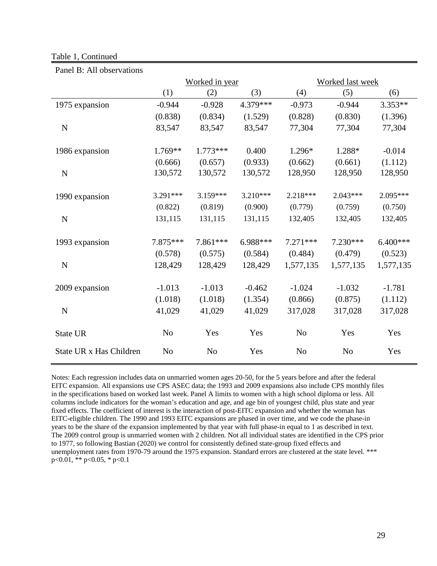### Table 1, Continued

| I and D. All bosci validiis |                |                |           |                         |                |            |  |
|-----------------------------|----------------|----------------|-----------|-------------------------|----------------|------------|--|
|                             | Worked in year |                |           | <b>Worked last week</b> |                |            |  |
|                             | (1)            | (2)            | (3)       | (4)                     | (5)            | (6)        |  |
| 1975 expansion              | $-0.944$       | $-0.928$       | 4.379 *** | $-0.973$                | $-0.944$       | $3.353**$  |  |
|                             | (0.838)        | (0.834)        | (1.529)   | (0.828)                 | (0.830)        | (1.396)    |  |
| N                           | 83,547         | 83,547         | 83,547    | 77,304                  | 77,304         | 77,304     |  |
| 1986 expansion              | 1.769**        | $1.773***$     | 0.400     | 1.296*                  | 1.288*         | $-0.014$   |  |
|                             | (0.666)        | (0.657)        | (0.933)   | (0.662)                 | (0.661)        | (1.112)    |  |
| N                           | 130,572        | 130,572        | 130,572   | 128,950                 | 128,950        | 128,950    |  |
| 1990 expansion              | $3.291***$     | $3.159***$     | 3.210***  | 2.218***                | $2.043***$     | 2.095***   |  |
|                             | (0.822)        | (0.819)        | (0.900)   | (0.779)                 | (0.759)        | (0.750)    |  |
| N                           | 131,115        | 131,115        | 131,115   | 132,405                 | 132,405        | 132,405    |  |
| 1993 expansion              | 7.875 ***      | 7.861***       | 6.988***  | $7.271***$              | $7.230***$     | $6.400***$ |  |
|                             | (0.578)        | (0.575)        | (0.584)   | (0.484)                 | (0.479)        | (0.523)    |  |
| N                           | 128,429        | 128,429        | 128,429   | 1,577,135               | 1,577,135      | 1,577,135  |  |
| 2009 expansion              | $-1.013$       | $-1.013$       | $-0.462$  | $-1.024$                | $-1.032$       | $-1.781$   |  |
|                             | (1.018)        | (1.018)        | (1.354)   | (0.866)                 | (0.875)        | (1.112)    |  |
| $\mathbf N$                 | 41,029         | 41,029         | 41,029    | 317,028                 | 317,028        | 317,028    |  |
| State UR                    | N <sub>o</sub> | Yes            | Yes       | N <sub>o</sub>          | Yes            | Yes        |  |
| State UR x Has Children     | N <sub>o</sub> | N <sub>o</sub> | Yes       | N <sub>o</sub>          | N <sub>o</sub> | Yes        |  |

Panel B: All observations

Notes: Each regression includes data on unmarried women ages 20-50, for the 5 years before and after the federal EITC expansion. All expansions use CPS ASEC data; the 1993 and 2009 expansions also include CPS monthly files in the specifications based on worked last week. Panel A limits to women with a high school diploma or less. All columns include indicators for the woman's education and age, and age bin of youngest child, plus state and year fixed effects. The coefficient of interest is the interaction of post-EITC expansion and whether the woman has EITC-eligible children. The 1990 and 1993 EITC expansions are phased in over time, and we code the phase-in years to be the share of the expansion implemented by that year with full phase-in equal to 1 as described in text. The 2009 control group is unmarried women with 2 children. Not all individual states are identified in the CPS prior to 1977, so following Bastian (2020) we control for consistently defined state-group fixed effects and unemployment rates from 1970-79 around the 1975 expansion. Standard errors are clustered at the state level. \*\*\* p<0.01, \*\* p<0.05, \* p<0.1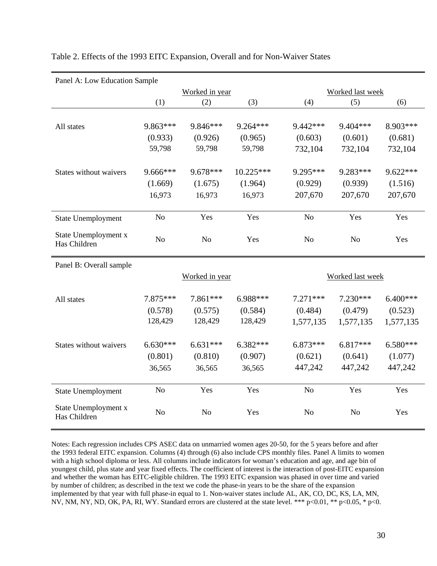| Panel A: Low Education Sample |                |                |            |                |                  |            |  |  |
|-------------------------------|----------------|----------------|------------|----------------|------------------|------------|--|--|
|                               |                | Worked in year |            |                | Worked last week |            |  |  |
|                               | (1)            | (2)            | (3)        | (4)            | (5)              | (6)        |  |  |
|                               |                |                |            |                |                  |            |  |  |
| All states                    | 9.863***       | 9.846***       | 9.264***   | 9.442 ***      | $9.404***$       | 8.903***   |  |  |
|                               | (0.933)        | (0.926)        | (0.965)    | (0.603)        | (0.601)          | (0.681)    |  |  |
|                               | 59,798         | 59,798         | 59,798     | 732,104        | 732,104          | 732,104    |  |  |
|                               |                |                |            |                |                  |            |  |  |
| States without waivers        | 9.666***       | 9.678***       | 10.225***  | 9.295***       | 9.283***         | 9.622***   |  |  |
|                               | (1.669)        | (1.675)        | (1.964)    | (0.929)        | (0.939)          | (1.516)    |  |  |
|                               | 16,973         | 16,973         | 16,973     | 207,670        | 207,670          | 207,670    |  |  |
|                               |                |                |            |                |                  |            |  |  |
| <b>State Unemployment</b>     | N <sub>o</sub> | Yes            | Yes        | N <sub>o</sub> | Yes              | Yes        |  |  |
| State Unemployment x          |                |                |            |                |                  |            |  |  |
| Has Children                  | N <sub>o</sub> | N <sub>o</sub> | Yes        | N <sub>o</sub> | N <sub>o</sub>   | Yes        |  |  |
|                               |                |                |            |                |                  |            |  |  |
| Panel B: Overall sample       |                |                |            |                |                  |            |  |  |
|                               |                | Worked in year |            |                | Worked last week |            |  |  |
|                               |                |                |            |                |                  |            |  |  |
| All states                    | 7.875***       | 7.861***       | 6.988***   | $7.271***$     | $7.230***$       | 6.400***   |  |  |
|                               | (0.578)        | (0.575)        | (0.584)    | (0.484)        | (0.479)          | (0.523)    |  |  |
|                               | 128,429        | 128,429        | 128,429    | 1,577,135      | 1,577,135        | 1,577,135  |  |  |
|                               |                |                |            |                |                  |            |  |  |
| States without waivers        | $6.630***$     | $6.631***$     | $6.382***$ | $6.873***$     | 6.817***         | $6.580***$ |  |  |
|                               | (0.801)        | (0.810)        | (0.907)    | (0.621)        | (0.641)          | (1.077)    |  |  |
|                               | 36,565         | 36,565         | 36,565     | 447,242        | 447,242          | 447,242    |  |  |
|                               |                |                |            |                |                  |            |  |  |
| State Unemployment            | N <sub>o</sub> | Yes            | Yes        | N <sub>o</sub> | Yes              | Yes        |  |  |
| State Unemployment x          |                |                |            |                |                  |            |  |  |
| Has Children                  | N <sub>o</sub> | N <sub>o</sub> | Yes        | N <sub>o</sub> | N <sub>o</sub>   | Yes        |  |  |
|                               |                |                |            |                |                  |            |  |  |

Table 2. Effects of the 1993 EITC Expansion, Overall and for Non-Waiver States

Notes: Each regression includes CPS ASEC data on unmarried women ages 20-50, for the 5 years before and after the 1993 federal EITC expansion. Columns (4) through (6) also include CPS monthly files. Panel A limits to women with a high school diploma or less. All columns include indicators for woman's education and age, and age bin of youngest child, plus state and year fixed effects. The coefficient of interest is the interaction of post-EITC expansion and whether the woman has EITC-eligible children. The 1993 EITC expansion was phased in over time and varied by number of children; as described in the text we code the phase-in years to be the share of the expansion implemented by that year with full phase-in equal to 1. Non-waiver states include AL, AK, CO, DC, KS, LA, MN, NV, NM, NY, ND, OK, PA, RI, WY. Standard errors are clustered at the state level. \*\*\* p<0.01, \*\* p<0.05, \* p<0.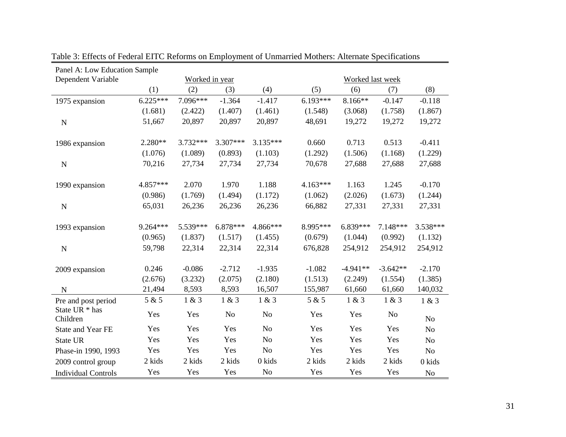| Panel A: Low Education Sample |            |                |          |                |            |            |                  |                |  |
|-------------------------------|------------|----------------|----------|----------------|------------|------------|------------------|----------------|--|
| Dependent Variable            |            | Worked in year |          |                |            |            | Worked last week |                |  |
|                               | (1)        | (2)            | (3)      | (4)            | (5)        | (6)        | (7)              | (8)            |  |
| 1975 expansion                | $6.225***$ | 7.096***       | $-1.364$ | $-1.417$       | $6.193***$ | 8.166**    | $-0.147$         | $-0.118$       |  |
|                               | (1.681)    | (2.422)        | (1.407)  | (1.461)        | (1.548)    | (3.068)    | (1.758)          | (1.867)        |  |
| ${\bf N}$                     | 51,667     | 20,897         | 20,897   | 20,897         | 48,691     | 19,272     | 19,272           | 19,272         |  |
| 1986 expansion                | $2.280**$  | 3.732***       | 3.307*** | 3.135***       | 0.660      | 0.713      | 0.513            | $-0.411$       |  |
|                               | (1.076)    | (1.089)        | (0.893)  | (1.103)        | (1.292)    | (1.506)    | (1.168)          | (1.229)        |  |
| ${\bf N}$                     | 70,216     | 27,734         | 27,734   | 27,734         | 70,678     | 27,688     | 27,688           | 27,688         |  |
| 1990 expansion                | 4.857***   | 2.070          | 1.970    | 1.188          | $4.163***$ | 1.163      | 1.245            | $-0.170$       |  |
|                               | (0.986)    | (1.769)        | (1.494)  | (1.172)        | (1.062)    | (2.026)    | (1.673)          | (1.244)        |  |
| ${\bf N}$                     | 65,031     | 26,236         | 26,236   | 26,236         | 66,882     | 27,331     | 27,331           | 27,331         |  |
| 1993 expansion                | 9.264 ***  | 5.539***       | 6.878*** | 4.866***       | 8.995***   | 6.839***   | 7.148***         | 3.538***       |  |
|                               | (0.965)    | (1.837)        | (1.517)  | (1.455)        | (0.679)    | (1.044)    | (0.992)          | (1.132)        |  |
| ${\bf N}$                     | 59,798     | 22,314         | 22,314   | 22,314         | 676,828    | 254,912    | 254,912          | 254,912        |  |
| 2009 expansion                | 0.246      | $-0.086$       | $-2.712$ | $-1.935$       | $-1.082$   | $-4.941**$ | $-3.642**$       | $-2.170$       |  |
|                               | (2.676)    | (3.232)        | (2.075)  | (2.180)        | (1.513)    | (2.249)    | (1.554)          | (1.385)        |  |
| $\mathbf N$                   | 21,494     | 8,593          | 8,593    | 16,507         | 155,987    | 61,660     | 61,660           | 140,032        |  |
| Pre and post period           | 5 & 5      | 1 & 3          | 1 & 3    | 1 & 3          | 5 & 5      | 1 & 3      | 1 & 3            | 1 & 3          |  |
| State UR * has<br>Children    | Yes        | Yes            | No       | No             | Yes        | Yes        | N <sub>0</sub>   | N <sub>o</sub> |  |
| <b>State and Year FE</b>      | Yes        | Yes            | Yes      | N <sub>o</sub> | Yes        | Yes        | Yes              | N <sub>o</sub> |  |
| State UR                      | Yes        | Yes            | Yes      | N <sub>o</sub> | Yes        | Yes        | Yes              | No             |  |
| Phase-in 1990, 1993           | Yes        | Yes            | Yes      | N <sub>o</sub> | Yes        | Yes        | Yes              | No             |  |
| 2009 control group            | 2 kids     | 2 kids         | 2 kids   | 0 kids         | 2 kids     | 2 kids     | 2 kids           | 0 kids         |  |
| <b>Individual Controls</b>    | Yes        | Yes            | Yes      | No             | Yes        | Yes        | Yes              | $\rm No$       |  |

Table 3: Effects of Federal EITC Reforms on Employment of Unmarried Mothers: Alternate Specifications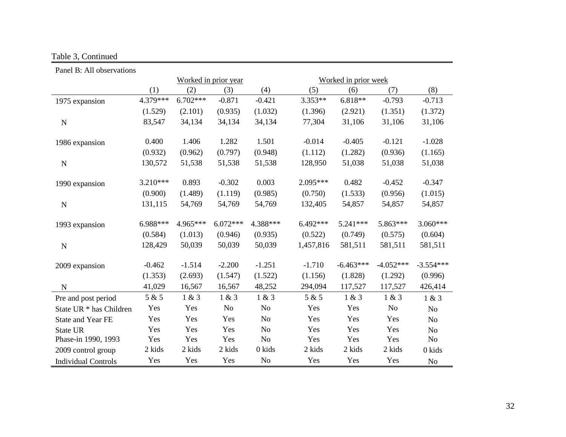# Table 3, Continued

| Panel B: All observations  |          |                                              |                |                |            |             |             |                |
|----------------------------|----------|----------------------------------------------|----------------|----------------|------------|-------------|-------------|----------------|
|                            |          | Worked in prior year<br>Worked in prior week |                |                |            |             |             |                |
|                            | (1)      | (2)                                          | (3)            | (4)            | (5)        | (6)         | (7)         | (8)            |
| 1975 expansion             | 4.379*** | $6.702***$                                   | $-0.871$       | $-0.421$       | 3.353**    | 6.818**     | $-0.793$    | $-0.713$       |
|                            | (1.529)  | (2.101)                                      | (0.935)        | (1.032)        | (1.396)    | (2.921)     | (1.351)     | (1.372)        |
| ${\bf N}$                  | 83,547   | 34,134                                       | 34,134         | 34,134         | 77,304     | 31,106      | 31,106      | 31,106         |
| 1986 expansion             | 0.400    | 1.406                                        | 1.282          | 1.501          | $-0.014$   | $-0.405$    | $-0.121$    | $-1.028$       |
|                            | (0.932)  | (0.962)                                      | (0.797)        | (0.948)        | (1.112)    | (1.282)     | (0.936)     | (1.165)        |
| $\mathbf N$                | 130,572  | 51,538                                       | 51,538         | 51,538         | 128,950    | 51,038      | 51,038      | 51,038         |
| 1990 expansion             | 3.210*** | 0.893                                        | $-0.302$       | 0.003          | 2.095***   | 0.482       | $-0.452$    | $-0.347$       |
|                            | (0.900)  | (1.489)                                      | (1.119)        | (0.985)        | (0.750)    | (1.533)     | (0.956)     | (1.015)        |
| ${\bf N}$                  | 131,115  | 54,769                                       | 54,769         | 54,769         | 132,405    | 54,857      | 54,857      | 54,857         |
| 1993 expansion             | 6.988*** | 4.965***                                     | $6.072***$     | 4.388***       | $6.492***$ | $5.241***$  | 5.863***    | 3.060***       |
|                            | (0.584)  | (1.013)                                      | (0.946)        | (0.935)        | (0.522)    | (0.749)     | (0.575)     | (0.604)        |
| ${\bf N}$                  | 128,429  | 50,039                                       | 50,039         | 50,039         | 1,457,816  | 581,511     | 581,511     | 581,511        |
| 2009 expansion             | $-0.462$ | $-1.514$                                     | $-2.200$       | $-1.251$       | $-1.710$   | $-6.463***$ | $-4.052***$ | $-3.554***$    |
|                            | (1.353)  | (2.693)                                      | (1.547)        | (1.522)        | (1.156)    | (1.828)     | (1.292)     | (0.996)        |
| ${\bf N}$                  | 41,029   | 16,567                                       | 16,567         | 48,252         | 294,094    | 117,527     | 117,527     | 426,414        |
| Pre and post period        | 5 & 5    | 1 & 3                                        | 1 & 3          | 1 & 3          | 5 & 5      | 1 & 3       | 1 & 3       | 1 & 3          |
| State UR * has Children    | Yes      | Yes                                          | N <sub>o</sub> | N <sub>o</sub> | Yes        | Yes         | No          | No             |
| State and Year FE          | Yes      | Yes                                          | Yes            | N <sub>o</sub> | Yes        | Yes         | Yes         | N <sub>o</sub> |
| State UR                   | Yes      | Yes                                          | Yes            | N <sub>o</sub> | Yes        | Yes         | Yes         | N <sub>o</sub> |
| Phase-in 1990, 1993        | Yes      | Yes                                          | Yes            | N <sub>o</sub> | Yes        | Yes         | Yes         | No             |
| 2009 control group         | 2 kids   | 2 kids                                       | 2 kids         | 0 kids         | 2 kids     | 2 kids      | 2 kids      | 0 kids         |
| <b>Individual Controls</b> | Yes      | Yes                                          | Yes            | N <sub>o</sub> | Yes        | Yes         | Yes         | No             |

÷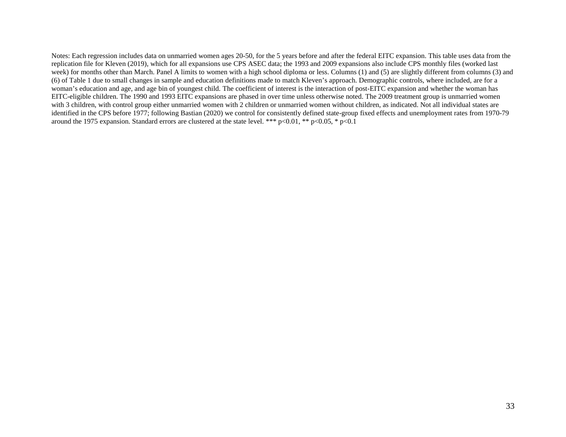Notes: Each regression includes data on unmarried women ages 20-50, for the 5 years before and after the federal EITC expansion. This table uses data from the replication file for Kleven (2019), which for all expansions use CPS ASEC data; the 1993 and 2009 expansions also include CPS monthly files (worked last week) for months other than March. Panel A limits to women with a high school diploma or less. Columns (1) and (5) are slightly different from columns (3) and (6) of Table 1 due to small changes in sample and education definitions made to match Kleven's approach. Demographic controls, where included, are for a woman's education and age, and age bin of youngest child. The coefficient of interest is the interaction of post-EITC expansion and whether the woman has EITC-eligible children. The 1990 and 1993 EITC expansions are phased in over time unless otherwise noted. The 2009 treatment group is unmarried women with 3 children, with control group either unmarried women with 2 children or unmarried women without children, as indicated. Not all individual states are identified in the CPS before 1977; following Bastian (2020) we control for consistently defined state-group fixed effects and unemployment rates from 1970-79 around the 1975 expansion. Standard errors are clustered at the state level. \*\*\* p<0.01, \*\* p<0.05, \* p<0.1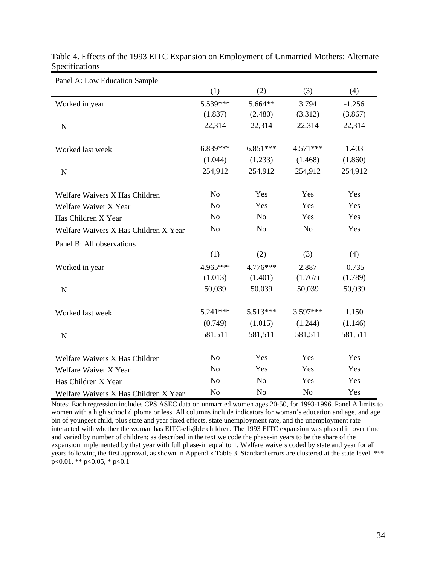| Panel A: Low Education Sample         |                |                |                |          |
|---------------------------------------|----------------|----------------|----------------|----------|
|                                       | (1)            | (2)            | (3)            | (4)      |
| Worked in year                        | 5.539***       | 5.664**        | 3.794          | $-1.256$ |
|                                       | (1.837)        | (2.480)        | (3.312)        | (3.867)  |
| $\mathbf N$                           | 22,314         | 22,314         | 22,314         | 22,314   |
| Worked last week                      | 6.839***       | $6.851***$     | 4.571***       | 1.403    |
|                                       | (1.044)        | (1.233)        | (1.468)        | (1.860)  |
| $\mathbf N$                           | 254,912        | 254,912        | 254,912        | 254,912  |
| Welfare Waivers X Has Children        | N <sub>o</sub> | Yes            | Yes            | Yes      |
| Welfare Waiver X Year                 | N <sub>o</sub> | Yes            | Yes            | Yes      |
| Has Children X Year                   | N <sub>o</sub> | N <sub>o</sub> | Yes            | Yes      |
| Welfare Waivers X Has Children X Year | N <sub>o</sub> | N <sub>0</sub> | N <sub>o</sub> | Yes      |
| Panel B: All observations             |                |                |                |          |
|                                       | (1)            | (2)            | (3)            | (4)      |
| Worked in year                        | 4.965***       | 4.776***       | 2.887          | $-0.735$ |
|                                       | (1.013)        | (1.401)        | (1.767)        | (1.789)  |
| ${\bf N}$                             | 50,039         | 50,039         | 50,039         | 50,039   |
| Worked last week                      | $5.241***$     | 5.513***       | 3.597***       | 1.150    |
|                                       | (0.749)        | (1.015)        | (1.244)        | (1.146)  |
| $\mathbf N$                           | 581,511        | 581,511        | 581,511        | 581,511  |
| Welfare Waivers X Has Children        | N <sub>o</sub> | Yes            | Yes            | Yes      |
| Welfare Waiver X Year                 | N <sub>o</sub> | Yes            | Yes            | Yes      |
| Has Children X Year                   | N <sub>o</sub> | N <sub>o</sub> | Yes            | Yes      |
| Welfare Waivers X Has Children X Year | N <sub>o</sub> | N <sub>o</sub> | N <sub>o</sub> | Yes      |

Table 4. Effects of the 1993 EITC Expansion on Employment of Unmarried Mothers: Alternate Specifications

Notes: Each regression includes CPS ASEC data on unmarried women ages 20-50, for 1993-1996. Panel A limits to women with a high school diploma or less. All columns include indicators for woman's education and age, and age bin of youngest child, plus state and year fixed effects, state unemployment rate, and the unemployment rate interacted with whether the woman has EITC-eligible children. The 1993 EITC expansion was phased in over time and varied by number of children; as described in the text we code the phase-in years to be the share of the expansion implemented by that year with full phase-in equal to 1. Welfare waivers coded by state and year for all years following the first approval, as shown in Appendix Table 3. Standard errors are clustered at the state level. \*\*\* p<0.01, \*\* p<0.05, \* p<0.1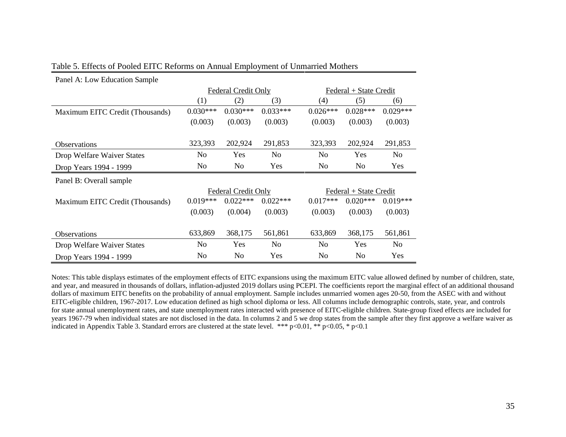| Panel A: Low Education Sample   |                |                     |                |                        |                        |                |  |
|---------------------------------|----------------|---------------------|----------------|------------------------|------------------------|----------------|--|
|                                 |                | Federal Credit Only |                | Federal + State Credit |                        |                |  |
|                                 | (1)            | (2)                 | (3)            | (4)                    | (5)                    | (6)            |  |
| Maximum EITC Credit (Thousands) | $0.030***$     | $0.030***$          | $0.033***$     | $0.026***$             | $0.028***$             | $0.029***$     |  |
|                                 | (0.003)        | (0.003)             | (0.003)        | (0.003)                | (0.003)                | (0.003)        |  |
|                                 |                |                     |                |                        |                        |                |  |
| <b>Observations</b>             | 323,393        | 202,924             | 291,853        | 323,393                | 202,924                | 291,853        |  |
| Drop Welfare Waiver States      | N <sub>0</sub> | Yes                 | N <sub>0</sub> | N <sub>0</sub>         | Yes                    | N <sub>0</sub> |  |
| Drop Years 1994 - 1999          | N <sub>o</sub> | No                  | Yes            | No                     | N <sub>o</sub>         | Yes            |  |
| Panel B: Overall sample         |                |                     |                |                        |                        |                |  |
|                                 |                | Federal Credit Only |                |                        | Federal + State Credit |                |  |
| Maximum EITC Credit (Thousands) | $0.019***$     | $0.022***$          | $0.022***$     | $0.017***$             | $0.020***$             | $0.019***$     |  |
|                                 | (0.003)        | (0.004)             | (0.003)        | (0.003)                | (0.003)                | (0.003)        |  |
|                                 |                |                     |                |                        |                        |                |  |
| <b>Observations</b>             | 633,869        | 368,175             | 561,861        | 633,869                | 368,175                | 561,861        |  |
| Drop Welfare Waiver States      | N <sub>o</sub> | Yes                 | N <sub>0</sub> | N <sub>0</sub>         | Yes                    | N <sub>0</sub> |  |
| Drop Years 1994 - 1999          | N <sub>o</sub> | N <sub>0</sub>      | Yes            | No                     | N <sub>0</sub>         | Yes            |  |

### Table 5. Effects of Pooled EITC Reforms on Annual Employment of Unmarried Mothers

Notes: This table displays estimates of the employment effects of EITC expansions using the maximum EITC value allowed defined by number of children, state, and year, and measured in thousands of dollars, inflation-adjusted 2019 dollars using PCEPI. The coefficients report the marginal effect of an additional thousand dollars of maximum EITC benefits on the probability of annual employment. Sample includes unmarried women ages 20-50, from the ASEC with and without EITC-eligible children, 1967-2017. Low education defined as high school diploma or less. All columns include demographic controls, state, year, and controls for state annual unemployment rates, and state unemployment rates interacted with presence of EITC-eligible children. State-group fixed effects are included for years 1967-79 when individual states are not disclosed in the data. In columns 2 and 5 we drop states from the sample after they first approve a welfare waiver as indicated in Appendix Table 3. Standard errors are clustered at the state level. \*\*\*  $p<0.01$ , \*\*  $p<0.05$ , \*  $p<0.1$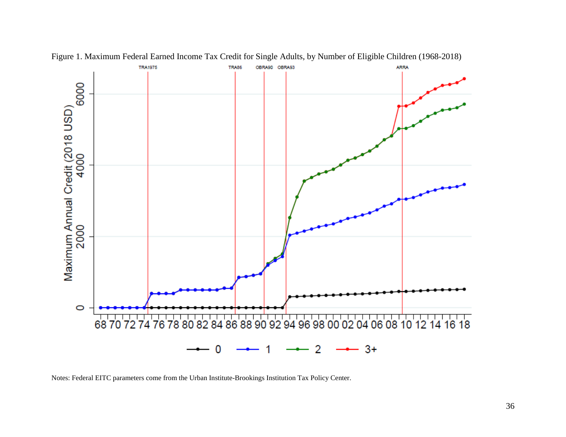

Figure 1. Maximum Federal Earned Income Tax Credit for Single Adults, by Number of Eligible Children (1968-2018)

Notes: Federal EITC parameters come from the Urban Institute-Brookings Institution Tax Policy Center.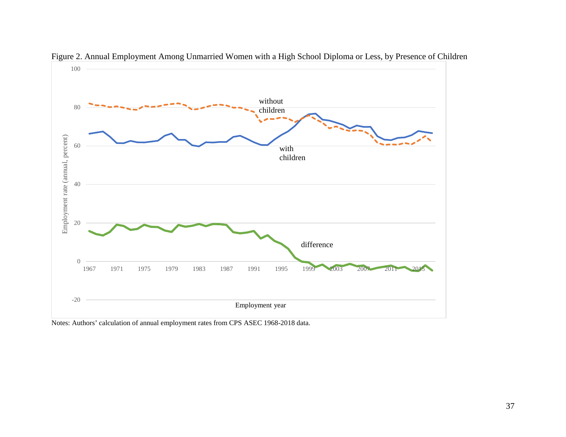

Figure 2. Annual Employment Among Unmarried Women with a High School Diploma or Less, by Presence of Children

Notes: Authors' calculation of annual employment rates from CPS ASEC 1968-2018 data.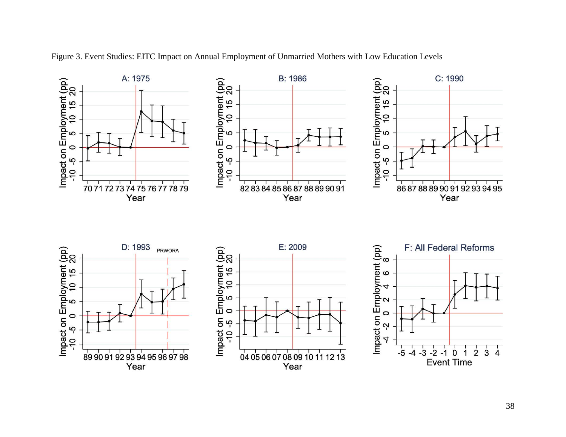

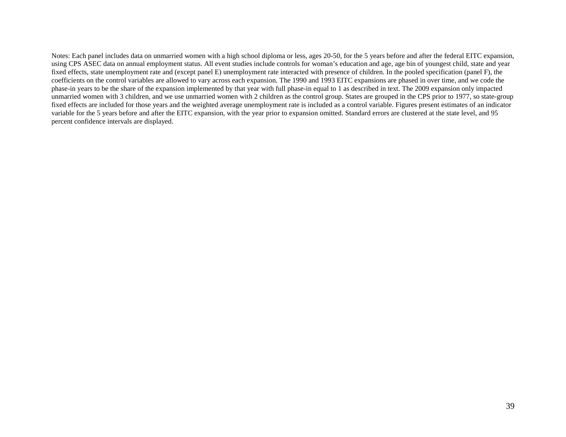Notes: Each panel includes data on unmarried women with a high school diploma or less, ages 20-50, for the 5 years before and after the federal EITC expansion, using CPS ASEC data on annual employment status. All event studies include controls for woman's education and age, age bin of youngest child, state and year fixed effects, state unemployment rate and (except panel E) unemployment rate interacted with presence of children. In the pooled specification (panel F), the coefficients on the control variables are allowed to vary across each expansion. The 1990 and 1993 EITC expansions are phased in over time, and we code the phase-in years to be the share of the expansion implemented by that year with full phase-in equal to 1 as described in text. The 2009 expansion only impacted unmarried women with 3 children, and we use unmarried women with 2 children as the control group. States are grouped in the CPS prior to 1977, so state-group fixed effects are included for those years and the weighted average unemployment rate is included as a control variable. Figures present estimates of an indicator variable for the 5 years before and after the EITC expansion, with the year prior to expansion omitted. Standard errors are clustered at the state level, and 95 percent confidence intervals are displayed.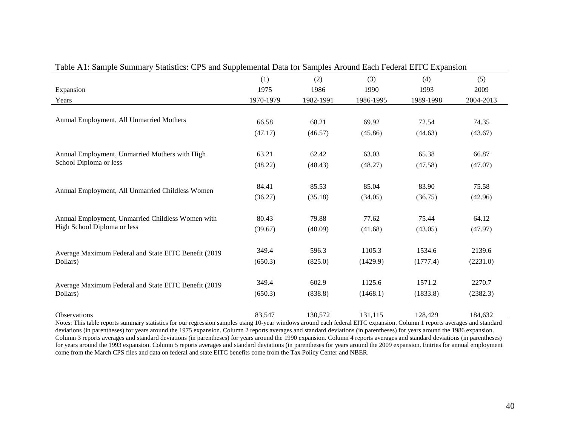| Table A1: Sample Summary Statistics: CPS and Supplemental Data for Samples Around Each Federal EITC Expansion |                  |                  |                    |                    |                    |  |  |
|---------------------------------------------------------------------------------------------------------------|------------------|------------------|--------------------|--------------------|--------------------|--|--|
|                                                                                                               | (1)              | (2)              | (3)                | (4)                | (5)                |  |  |
| Expansion                                                                                                     | 1975             | 1986             | 1990               | 1993               | 2009               |  |  |
| Years                                                                                                         | 1970-1979        | 1982-1991        | 1986-1995          | 1989-1998          | 2004-2013          |  |  |
| Annual Employment, All Unmarried Mothers                                                                      | 66.58            | 68.21            | 69.92              | 72.54              | 74.35              |  |  |
|                                                                                                               | (47.17)          | (46.57)          | (45.86)            | (44.63)            | (43.67)            |  |  |
| Annual Employment, Unmarried Mothers with High<br>School Diploma or less                                      | 63.21<br>(48.22) | 62.42<br>(48.43) | 63.03<br>(48.27)   | 65.38<br>(47.58)   | 66.87<br>(47.07)   |  |  |
| Annual Employment, All Unmarried Childless Women                                                              | 84.41<br>(36.27) | 85.53<br>(35.18) | 85.04<br>(34.05)   | 83.90<br>(36.75)   | 75.58<br>(42.96)   |  |  |
| Annual Employment, Unmarried Childless Women with<br>High School Diploma or less                              | 80.43<br>(39.67) | 79.88<br>(40.09) | 77.62<br>(41.68)   | 75.44<br>(43.05)   | 64.12<br>(47.97)   |  |  |
| Average Maximum Federal and State EITC Benefit (2019)<br>Dollars)                                             | 349.4<br>(650.3) | 596.3<br>(825.0) | 1105.3<br>(1429.9) | 1534.6<br>(1777.4) | 2139.6<br>(2231.0) |  |  |
| Average Maximum Federal and State EITC Benefit (2019<br>Dollars)                                              | 349.4<br>(650.3) | 602.9<br>(838.8) | 1125.6<br>(1468.1) | 1571.2<br>(1833.8) | 2270.7<br>(2382.3) |  |  |
| <b>Observations</b>                                                                                           | 83,547           | 130,572          | 131,115            | 128,429            | 184,632            |  |  |

Notes: This table reports summary statistics for our regression samples using 10-year windows around each federal EITC expansion. Column 1 reports averages and standard deviations (in parentheses) for years around the 1975 expansion. Column 2 reports averages and standard deviations (in parentheses) for years around the 1986 expansion. Column 3 reports averages and standard deviations (in parentheses) for years around the 1990 expansion. Column 4 reports averages and standard deviations (in parentheses) for years around the 1993 expansion. Column 5 reports averages and standard deviations (in parentheses for years around the 2009 expansion. Entries for annual employment come from the March CPS files and data on federal and state EITC benefits come from the Tax Policy Center and NBER.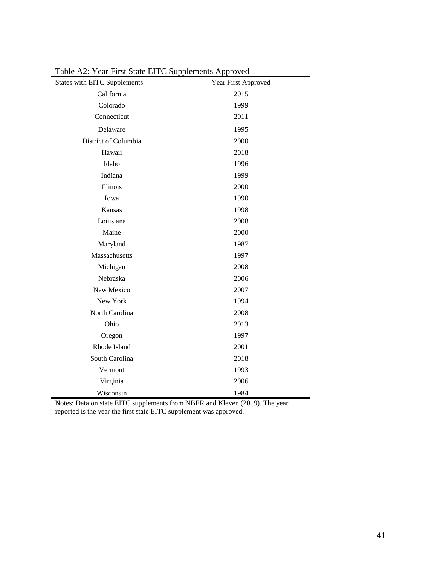| <b>States with EITC Supplements</b> | $-$ p p $   -$<br>Year First Approved |
|-------------------------------------|---------------------------------------|
| California                          | 2015                                  |
| Colorado                            | 1999                                  |
| Connecticut                         | 2011                                  |
| Delaware                            | 1995                                  |
| District of Columbia                | 2000                                  |
| Hawaii                              | 2018                                  |
| Idaho                               | 1996                                  |
| Indiana                             | 1999                                  |
| Illinois                            | 2000                                  |
| Iowa                                | 1990                                  |
| Kansas                              | 1998                                  |
| Louisiana                           | 2008                                  |
| Maine                               | 2000                                  |
| Maryland                            | 1987                                  |
| Massachusetts                       | 1997                                  |
| Michigan                            | 2008                                  |
| Nebraska                            | 2006                                  |
| New Mexico                          | 2007                                  |
| New York                            | 1994                                  |
| North Carolina                      | 2008                                  |
| Ohio                                | 2013                                  |
| Oregon                              | 1997                                  |
| Rhode Island                        | 2001                                  |
| South Carolina                      | 2018                                  |
| Vermont                             | 1993                                  |
| Virginia                            | 2006                                  |
| Wisconsin                           | 1984                                  |

Table A2: Year First State EITC Supplements Approved

Notes: Data on state EITC supplements from NBER and Kleven (2019). The year reported is the year the first state EITC supplement was approved.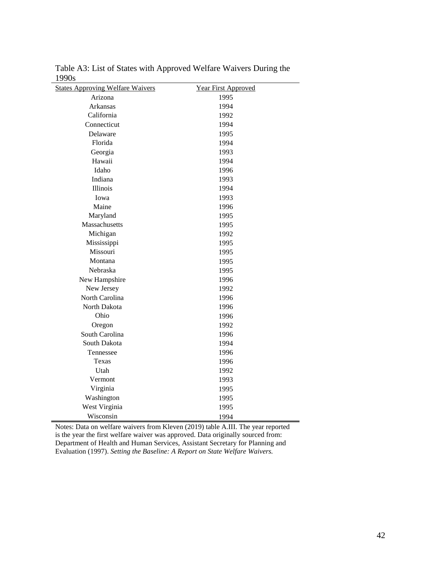| 19905                                   |                            |
|-----------------------------------------|----------------------------|
| <b>States Approving Welfare Waivers</b> | <b>Year First Approved</b> |
| Arizona                                 | 1995                       |
| Arkansas                                | 1994                       |
| California                              | 1992                       |
| Connecticut                             | 1994                       |
| Delaware                                | 1995                       |
| Florida                                 | 1994                       |
| Georgia                                 | 1993                       |
| Hawaii                                  | 1994                       |
| Idaho                                   | 1996                       |
| Indiana                                 | 1993                       |
| Illinois                                | 1994                       |
| Iowa                                    | 1993                       |
| Maine                                   | 1996                       |
| Maryland                                | 1995                       |
| Massachusetts                           | 1995                       |
| Michigan                                | 1992                       |
| Mississippi                             | 1995                       |
| Missouri                                | 1995                       |
| Montana                                 | 1995                       |
| Nebraska                                | 1995                       |
| New Hampshire                           | 1996                       |
| New Jersey                              | 1992                       |
| North Carolina                          | 1996                       |
| North Dakota                            | 1996                       |
| Ohio                                    | 1996                       |
| Oregon                                  | 1992                       |
| South Carolina                          | 1996                       |
| South Dakota                            | 1994                       |
| Tennessee                               | 1996                       |
| Texas                                   | 1996                       |
| Utah                                    | 1992                       |
| Vermont                                 | 1993                       |
| Virginia                                | 1995                       |
| Washington                              | 1995                       |
| West Virginia                           | 1995                       |
| Wisconsin                               | 1994                       |

Table A3: List of States with Approved Welfare Waivers During the 1990s

Notes: Data on welfare waivers from Kleven (2019) table A.III. The year reported is the year the first welfare waiver was approved. Data originally sourced from: Department of Health and Human Services, Assistant Secretary for Planning and Evaluation (1997). *Setting the Baseline: A Report on State Welfare Waivers.*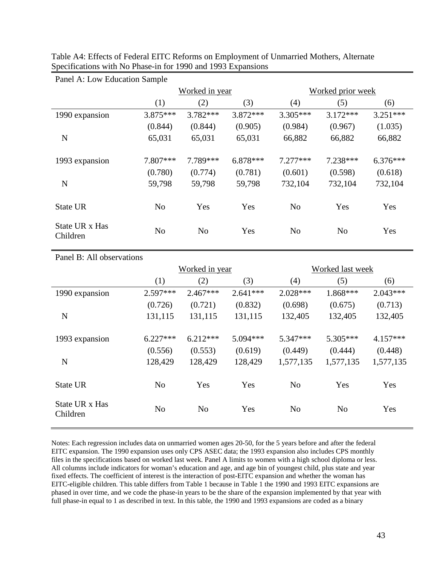| Panel A: Low Education Sample |                |                |            |                   |                |            |  |  |
|-------------------------------|----------------|----------------|------------|-------------------|----------------|------------|--|--|
|                               |                | Worked in year |            | Worked prior week |                |            |  |  |
|                               | (1)            | (2)            | (3)        | (4)               | (5)            | (6)        |  |  |
| 1990 expansion                | $3.875***$     | $3.782***$     | $3.872***$ | $3.305***$        | $3.172***$     | $3.251***$ |  |  |
|                               | (0.844)        | (0.844)        | (0.905)    | (0.984)           | (0.967)        | (1.035)    |  |  |
| N                             | 65,031         | 65,031         | 65,031     | 66,882            | 66,882         | 66,882     |  |  |
| 1993 expansion                | 7.807***       | 7.789***       | $6.878***$ | $7.277***$        | 7.238***       | $6.376***$ |  |  |
|                               | (0.780)        | (0.774)        | (0.781)    | (0.601)           | (0.598)        | (0.618)    |  |  |
| N                             | 59,798         | 59,798         | 59,798     | 732,104           | 732,104        | 732,104    |  |  |
| <b>State UR</b>               | N <sub>o</sub> | Yes            | Yes        | N <sub>o</sub>    | Yes            | Yes        |  |  |
| State UR x Has<br>Children    | N <sub>o</sub> | N <sub>o</sub> | Yes        | N <sub>o</sub>    | N <sub>o</sub> | Yes        |  |  |

Table A4: Effects of Federal EITC Reforms on Employment of Unmarried Mothers, Alternate Specifications with No Phase-in for 1990 and 1993 Expansions

Panel B: All observations Worked in year Worked last week (1) (2) (3) (4) (5) (6) 1990 expansion 2.597\*\*\* 2.467\*\*\* 2.641\*\*\* 2.028\*\*\* 1.868\*\*\* 2.043\*\*\*  $(0.726)$   $(0.721)$   $(0.832)$   $(0.698)$   $(0.675)$   $(0.713)$ N 131,115 131,115 131,115 132,405 132,405 132,405 1993 expansion 6.227\*\*\* 6.212\*\*\* 5.094\*\*\* 5.347\*\*\* 5.305\*\*\* 4.157\*\*\*  $(0.556)$   $(0.553)$   $(0.619)$   $(0.449)$   $(0.444)$   $(0.448)$ N 128,429 128,429 128,429 1,577,135 1,577,135 1,577,135 State UR No Yes Yes No Yes Yes State UR x Has State St A Has No No No Yes No No Yes<br>Children

Notes: Each regression includes data on unmarried women ages 20-50, for the 5 years before and after the federal EITC expansion. The 1990 expansion uses only CPS ASEC data; the 1993 expansion also includes CPS monthly files in the specifications based on worked last week. Panel A limits to women with a high school diploma or less. All columns include indicators for woman's education and age, and age bin of youngest child, plus state and year fixed effects. The coefficient of interest is the interaction of post-EITC expansion and whether the woman has EITC-eligible children. This table differs from Table 1 because in Table 1 the 1990 and 1993 EITC expansions are phased in over time, and we code the phase-in years to be the share of the expansion implemented by that year with full phase-in equal to 1 as described in text. In this table, the 1990 and 1993 expansions are coded as a binary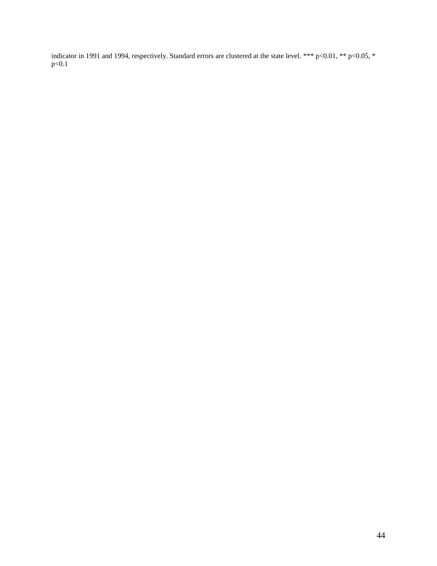indicator in 1991 and 1994, respectively. Standard errors are clustered at the state level. \*\*\* p<0.01, \*\* p<0.05, \*  $p<0.1$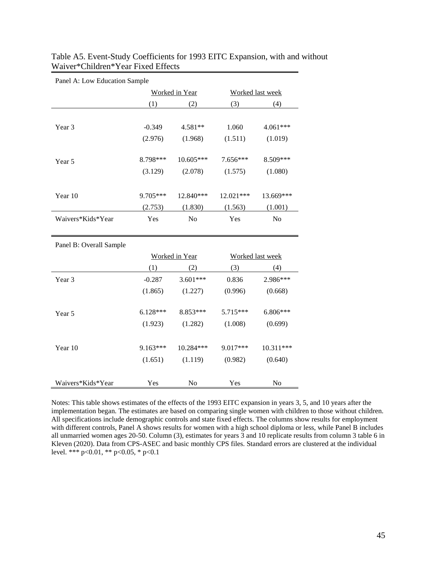| Panel A: Low Education Sample |            |                |           |                  |  |  |  |  |
|-------------------------------|------------|----------------|-----------|------------------|--|--|--|--|
|                               |            | Worked in Year |           | Worked last week |  |  |  |  |
|                               | (1)        | (2)            | (3)       | (4)              |  |  |  |  |
|                               |            |                |           |                  |  |  |  |  |
| Year 3                        | $-0.349$   | 4.581**        | 1.060     | 4.061***         |  |  |  |  |
|                               | (2.976)    | (1.968)        | (1.511)   | (1.019)          |  |  |  |  |
| Year 5                        | 8.798***   | $10.605***$    | 7.656***  | 8.509***         |  |  |  |  |
|                               | (3.129)    | (2.078)        | (1.575)   | (1.080)          |  |  |  |  |
|                               |            |                |           |                  |  |  |  |  |
| Year 10                       | 9.705***   | 12.840***      | 12.021*** | 13.669***        |  |  |  |  |
|                               | (2.753)    | (1.830)        | (1.563)   | (1.001)          |  |  |  |  |
| Waivers*Kids*Year             | Yes        | No             | Yes       | No               |  |  |  |  |
| Panel B: Overall Sample       |            |                |           |                  |  |  |  |  |
|                               |            | Worked in Year |           | Worked last week |  |  |  |  |
|                               | (1)        | (2)            | (3)       | (4)              |  |  |  |  |
| Year 3                        | $-0.287$   | 3.601***       | 0.836     | 2.986***         |  |  |  |  |
|                               | (1.865)    | (1.227)        | (0.996)   | (0.668)          |  |  |  |  |
| Year 5                        | $6.128***$ | 8.853***       | 5.715***  | 6.806***         |  |  |  |  |
|                               | (1.923)    | (1.282)        | (1.008)   | (0.699)          |  |  |  |  |
|                               |            |                |           |                  |  |  |  |  |
| Year 10                       | $9.163***$ | 10.284***      | 9.017***  | 10.311***        |  |  |  |  |

Waivers\*Kids\*Year Yes No Yes No

Table A5. Event-Study Coefficients for 1993 EITC Expansion, with and without Waiver\*Children\*Year Fixed Effects

Notes: This table shows estimates of the effects of the 1993 EITC expansion in years 3, 5, and 10 years after the implementation began. The estimates are based on comparing single women with children to those without children. All specifications include demographic controls and state fixed effects. The columns show results for employment with different controls, Panel A shows results for women with a high school diploma or less, while Panel B includes all unmarried women ages 20-50. Column (3), estimates for years 3 and 10 replicate results from column 3 table 6 in Kleven (2020). Data from CPS-ASEC and basic monthly CPS files. Standard errors are clustered at the individual level. \*\*\* p<0.01, \*\* p<0.05, \* p<0.1

 $(1.651)$   $(1.119)$   $(0.982)$   $(0.640)$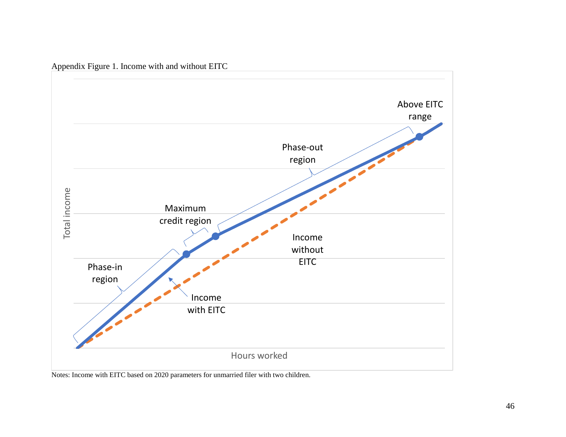

Appendix Figure 1. Income with and without EITC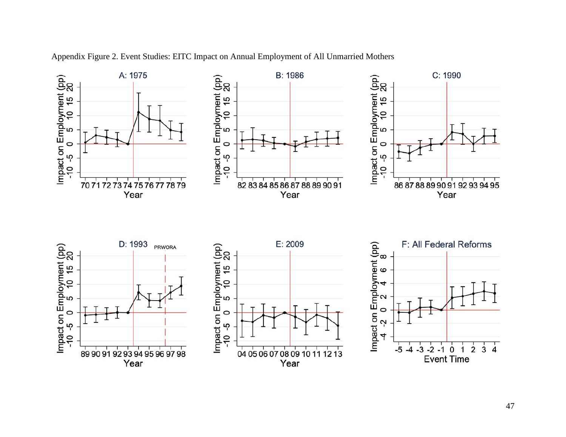

Appendix Figure 2. Event Studies: EITC Impact on Annual Employment of All Unmarried Mothers